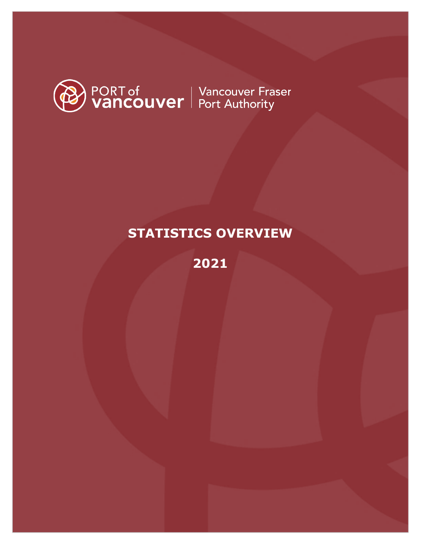

# **STATISTICS OVERVIEW**

**2021**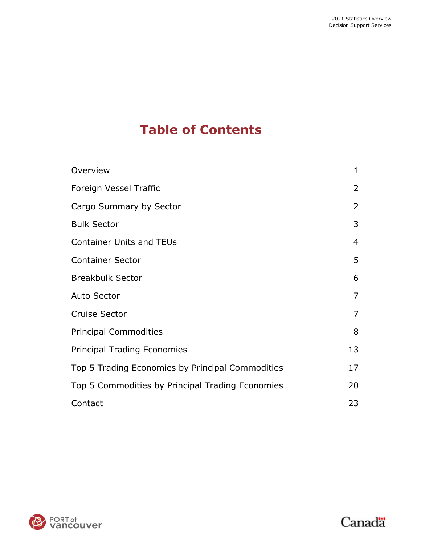# **Table of Contents**

| Overview                                         | $\mathbf{1}$   |
|--------------------------------------------------|----------------|
| Foreign Vessel Traffic                           | $\overline{2}$ |
| Cargo Summary by Sector                          | $\overline{2}$ |
| <b>Bulk Sector</b>                               | 3              |
| <b>Container Units and TEUs</b>                  | $\overline{4}$ |
| <b>Container Sector</b>                          | 5              |
| <b>Breakbulk Sector</b>                          | 6              |
| <b>Auto Sector</b>                               | $\overline{7}$ |
| <b>Cruise Sector</b>                             | $\overline{7}$ |
| <b>Principal Commodities</b>                     | 8              |
| <b>Principal Trading Economies</b>               | 13             |
| Top 5 Trading Economies by Principal Commodities | 17             |
| Top 5 Commodities by Principal Trading Economies | 20             |
| Contact                                          | 23             |



Canadä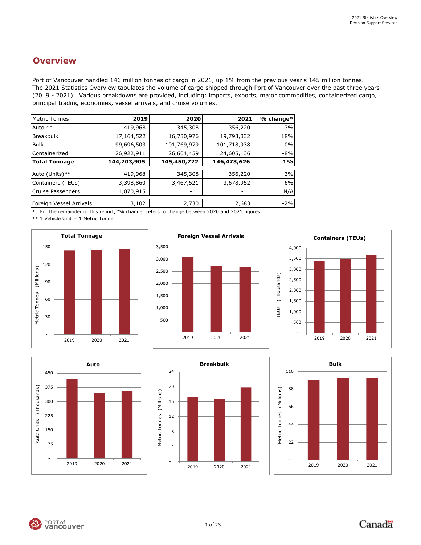## **Overview**

Port of Vancouver handled 146 million tonnes of cargo in 2021, up 1% from the previous year's 145 million tonnes. The 2021 Statistics Overview tabulates the volume of cargo shipped through Port of Vancouver over the past three years (2019 - 2021). Various breakdowns are provided, including: imports, exports, major commodities, containerized cargo, principal trading economies, vessel arrivals, and cruise volumes.

| <b>Metric Tonnes</b>    | 2019        | 2020        | 2021        | $%$ change $*$ |
|-------------------------|-------------|-------------|-------------|----------------|
| Auto **                 | 419,968     | 345,308     | 356,220     | 3%             |
| <b>Breakbulk</b>        | 17,164,522  | 16,730,976  | 19,793,332  | 18%            |
| <b>Bulk</b>             | 99,696,503  | 101,769,979 | 101,718,938 | 0%             |
| Containerized           | 26,922,911  | 26,604,459  | 24,605,136  | $-8%$          |
| Total Tonnage           | 144,203,905 | 145,450,722 | 146,473,626 | $1\%$          |
|                         |             |             |             |                |
| Auto (Units) **         | 419,968     | 345,308     | 356,220     | 3%             |
| Containers (TEUs)       | 3,398,860   | 3,467,521   | 3,678,952   | 6%             |
| Cruise Passengers       | 1,070,915   |             |             | N/A            |
| Foreign Vessel Arrivals | 3,102       | 2,730       | 2,683       | $-2%$          |

\* For the remainder of this report, "% change" refers to change between 2020 and 2021 figures

\*\* 1 Vehicle Unit = 1 Metric Tonne





**Foreign Vessel Arrivals**









PORT of<br>**Vancouver**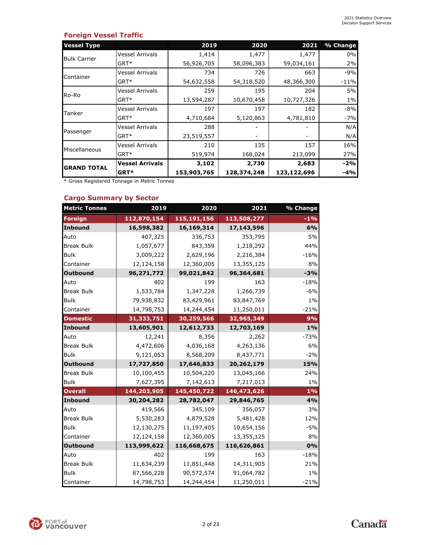### **Foreign Vessel Traffic**

| <b>Vessel Type</b>  |                        | 2019        | 2020        | 2021        | % Change |
|---------------------|------------------------|-------------|-------------|-------------|----------|
| <b>Bulk Carrier</b> | <b>Vessel Arrivals</b> | 1,414       | 1,477       | 1,477       | 0%       |
|                     | $GRT*$                 | 56,926,705  | 58,096,383  | 59,034,161  | 2%       |
| Container           | Vessel Arrivals        | 734         | 726         | 663         | $-9%$    |
|                     | $GRT*$                 | 54,632,558  | 54,318,520  | 48,366,300  | $-11%$   |
| Ro-Ro               | Vessel Arrivals        | 259         | 195         | 204         | 5%       |
|                     | $GRT*$                 | 13,594,287  | 10,670,458  | 10,727,326  | $1\%$    |
| Tanker              | Vessel Arrivals        | 197         | 197         | 182         | $-8%$    |
|                     | $GRT*$                 | 4,710,684   | 5,120,863   | 4,781,810   | $-7%$    |
|                     | <b>Vessel Arrivals</b> | 288         |             |             | N/A      |
| Passenger           | $GRT*$                 | 23,519,557  |             |             | N/A      |
| Miscellaneous       | Vessel Arrivals        | 210         | 135         | 157         | 16%      |
|                     | GRT <sup>*</sup>       | 519,974     | 168,024     | 213,099     | 27%      |
| <b>GRAND TOTAL</b>  | <b>Vessel Arrivals</b> | 3,102       | 2,730       | 2,683       | $-2%$    |
|                     | GRT*                   | 153,903,765 | 128,374,248 | 123,122,696 | $-4%$    |

\* Gross Registered Tonnage in Metric Tonnes

### **Cargo Summary by Sector**

| <b>Metric Tonnes</b> | 2019        | 2020        | 2021        | % Change |
|----------------------|-------------|-------------|-------------|----------|
| <b>Foreign</b>       | 112,870,154 | 115,191,156 | 113,508,277 | $-1%$    |
| Inbound              | 16,598,382  | 16,169,314  | 17,143,596  | 6%       |
| Auto                 | 407,325     | 336,753     | 353,795     | 5%       |
| <b>Break Bulk</b>    | 1,057,677   | 843,359     | 1,218,292   | 44%      |
| <b>Bulk</b>          | 3,009,222   | 2,629,196   | 2,216,384   | $-16%$   |
| Container            | 12,124,158  | 12,360,005  | 13,355,125  | 8%       |
| <b>Outbound</b>      | 96,271,772  | 99,021,842  | 96,364,681  | $-3%$    |
| Auto                 | 402         | 199         | 163         | $-18%$   |
| <b>Break Bulk</b>    | 1,533,784   | 1,347,228   | 1,266,739   | $-6%$    |
| <b>Bulk</b>          | 79,938,832  | 83,429,961  | 83,847,769  | $1\%$    |
| Container            | 14,798,753  | 14,244,454  | 11,250,011  | $-21%$   |
| <b>Domestic</b>      | 31,333,751  | 30,259,566  | 32,965,349  | 9%       |
| Inbound              | 13,605,901  | 12,612,733  | 12,703,169  | 1%       |
| Auto                 | 12,241      | 8,356       | 2,262       | $-73%$   |
| <b>Break Bulk</b>    | 4,472,606   | 4,036,168   | 4,263,136   | 6%       |
| <b>Bulk</b>          | 9,121,053   | 8,568,209   | 8,437,771   | $-2%$    |
| <b>Outbound</b>      | 17,727,850  | 17,646,833  | 20,262,179  | 15%      |
| <b>Break Bulk</b>    | 10,100,455  | 10,504,220  | 13,045,166  | 24%      |
| <b>Bulk</b>          | 7,627,395   | 7,142,613   | 7,217,013   | $1\%$    |
| <b>Overall</b>       | 144,203,905 | 145,450,722 | 146,473,626 | $1\%$    |
| <b>Inbound</b>       | 30,204,282  | 28,782,047  | 29,846,765  | 4%       |
| Auto                 | 419,566     | 345,109     | 356,057     | 3%       |
| <b>Break Bulk</b>    | 5,530,283   | 4,879,528   | 5,481,428   | 12%      |
| <b>Bulk</b>          | 12,130,275  | 11,197,405  | 10,654,156  | $-5%$    |
| Container            | 12,124,158  | 12,360,005  | 13,355,125  | 8%       |
| <b>Outbound</b>      | 113,999,622 | 116,668,675 | 116,626,861 | 0%       |
| Auto                 | 402         | 199         | 163         | $-18%$   |
| <b>Break Bulk</b>    | 11,634,239  | 11,851,448  | 14,311,905  | 21%      |
| <b>Bulk</b>          | 87,566,228  | 90,572,574  | 91,064,782  | $1\%$    |
| Container            | 14,798,753  | 14,244,454  | 11,250,011  | $-21%$   |

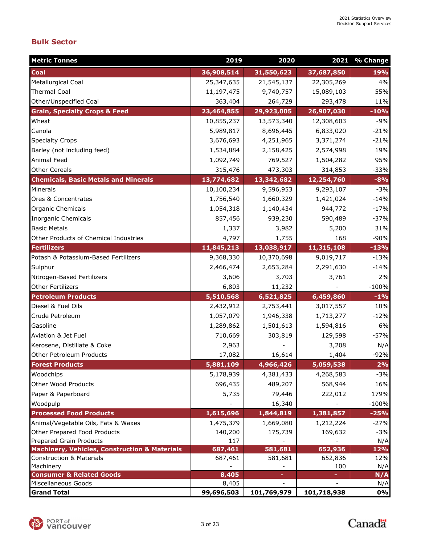### **Bulk Sector**

| <b>Metric Tonnes</b>                                     | 2019       | 2020        |             | 2021 % Change |
|----------------------------------------------------------|------------|-------------|-------------|---------------|
| Coal                                                     | 36,908,514 | 31,550,623  | 37,687,850  | 19%           |
| <b>Metallurgical Coal</b>                                | 25,347,635 | 21,545,137  | 22,305,269  | 4%            |
| <b>Thermal Coal</b>                                      | 11,197,475 | 9,740,757   | 15,089,103  | 55%           |
| Other/Unspecified Coal                                   | 363,404    | 264,729     | 293,478     | 11%           |
| <b>Grain, Specialty Crops &amp; Feed</b>                 | 23,464,855 | 29,923,005  | 26,907,030  | $-10%$        |
| Wheat                                                    | 10,855,237 | 13,573,340  | 12,308,603  | $-9%$         |
| Canola                                                   | 5,989,817  | 8,696,445   | 6,833,020   | $-21%$        |
| <b>Specialty Crops</b>                                   | 3,676,693  | 4,251,965   | 3,371,274   | $-21%$        |
| Barley (not including feed)                              | 1,534,884  | 2,158,425   | 2,574,998   | 19%           |
| Animal Feed                                              | 1,092,749  | 769,527     | 1,504,282   | 95%           |
| <b>Other Cereals</b>                                     | 315,476    | 473,303     | 314,853     | $-33%$        |
| <b>Chemicals, Basic Metals and Minerals</b>              | 13,774,682 | 13,342,682  | 12,254,760  | $-8%$         |
| Minerals                                                 | 10,100,234 | 9,596,953   | 9,293,107   | $-3%$         |
| Ores & Concentrates                                      | 1,756,540  | 1,660,329   | 1,421,024   | $-14%$        |
| Organic Chemicals                                        | 1,054,318  | 1,140,434   | 944,772     | $-17%$        |
| Inorganic Chemicals                                      | 857,456    | 939,230     | 590,489     | $-37%$        |
| <b>Basic Metals</b>                                      | 1,337      | 3,982       | 5,200       | 31%           |
| Other Products of Chemical Industries                    | 4,797      | 1,755       | 168         | $-90%$        |
| <b>Fertilizers</b>                                       | 11,845,213 | 13,038,917  | 11,315,108  | $-13%$        |
| Potash & Potassium-Based Fertilizers                     | 9,368,330  | 10,370,698  | 9,019,717   | $-13%$        |
| Sulphur                                                  | 2,466,474  | 2,653,284   | 2,291,630   | $-14%$        |
| Nitrogen-Based Fertilizers                               | 3,606      | 3,703       | 3,761       | 2%            |
| Other Fertilizers                                        | 6,803      | 11,232      |             | $-100%$       |
| <b>Petroleum Products</b>                                | 5,510,568  | 6,521,825   | 6,459,860   | $-1%$         |
| Diesel & Fuel Oils                                       | 2,432,912  | 2,753,441   | 3,017,557   | 10%           |
| Crude Petroleum                                          | 1,057,079  | 1,946,338   | 1,713,277   | $-12%$        |
| Gasoline                                                 | 1,289,862  | 1,501,613   | 1,594,816   | 6%            |
| Aviation & Jet Fuel                                      | 710,669    | 303,819     | 129,598     | $-57%$        |
| Kerosene, Distillate & Coke                              | 2,963      |             | 3,208       | N/A           |
| Other Petroleum Products                                 | 17,082     | 16,614      | 1,404       | $-92%$        |
| <b>Forest Products</b>                                   | 5,881,109  | 4,966,426   | 5,059,538   | $2\%$         |
| Woodchips                                                | 5,178,939  | 4,381,433   | 4,268,583   | $-3%$         |
| Other Wood Products                                      | 696,435    | 489,207     | 568,944     | 16%           |
| Paper & Paperboard                                       | 5,735      | 79,446      | 222,012     | 179%          |
| Woodpulp                                                 |            | 16,340      |             | $-100%$       |
| <b>Processed Food Products</b>                           | 1,615,696  | 1,844,819   | 1,381,857   | $-25%$        |
| Animal/Vegetable Oils, Fats & Waxes                      | 1,475,379  | 1,669,080   | 1,212,224   | $-27%$        |
| Other Prepared Food Products                             | 140,200    | 175,739     | 169,632     | $-3%$         |
| Prepared Grain Products                                  | 117        |             |             | N/A           |
| <b>Machinery, Vehicles, Construction &amp; Materials</b> | 687,461    | 581,681     | 652,936     | 12%           |
| <b>Construction &amp; Materials</b>                      | 687,461    | 581,681     | 652,836     | 12%           |
| Machinery                                                |            |             | 100         | N/A           |
| <b>Consumer &amp; Related Goods</b>                      | 8,405      |             |             | N/A           |
| Miscellaneous Goods                                      | 8,405      |             |             | N/A           |
| <b>Grand Total</b>                                       | 99,696,503 | 101,769,979 | 101,718,938 | 0%            |

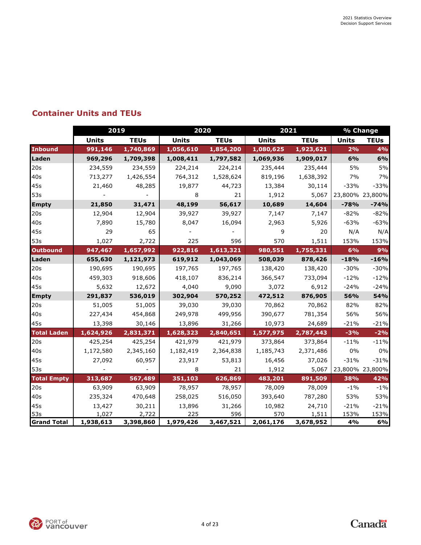## **Container Units and TEUs**

|                    | 2019         |             | 2020         |             | 2021         |             | % Change     |                 |
|--------------------|--------------|-------------|--------------|-------------|--------------|-------------|--------------|-----------------|
|                    | <b>Units</b> | <b>TEUs</b> | <b>Units</b> | <b>TEUs</b> | <b>Units</b> | <b>TEUs</b> | <b>Units</b> | <b>TEUs</b>     |
| <b>Inbound</b>     | 991,146      | 1,740,869   | 1,056,610    | 1,854,200   | 1,080,625    | 1,923,621   | 2%           | 4%              |
| Laden              | 969,296      | 1,709,398   | 1,008,411    | 1,797,582   | 1,069,936    | 1,909,017   | 6%           | 6%              |
| 20s                | 234,559      | 234,559     | 224,214      | 224,214     | 235,444      | 235,444     | 5%           | 5%              |
| 40s                | 713,277      | 1,426,554   | 764,312      | 1,528,624   | 819,196      | 1,638,392   | 7%           | 7%              |
| 45s                | 21,460       | 48,285      | 19,877       | 44,723      | 13,384       | 30,114      | $-33%$       | $-33%$          |
| 53s                |              |             | 8            | 21          | 1,912        | 5,067       |              | 23,800% 23,800% |
| <b>Empty</b>       | 21,850       | 31,471      | 48,199       | 56,617      | 10,689       | 14,604      | $-78%$       | $-74%$          |
| 20s                | 12,904       | 12,904      | 39,927       | 39,927      | 7,147        | 7,147       | $-82%$       | $-82%$          |
| 40s                | 7,890        | 15,780      | 8,047        | 16,094      | 2,963        | 5,926       | $-63%$       | $-63%$          |
| 45s                | 29           | 65          |              |             | 9            | 20          | N/A          | N/A             |
| 53s                | 1,027        | 2,722       | 225          | 596         | 570          | 1,511       | 153%         | 153%            |
| <b>Outbound</b>    | 947,467      | 1,657,992   | 922,816      | 1,613,321   | 980,551      | 1,755,331   | 6%           | 9%              |
| Laden              | 655,630      | 1,121,973   | 619,912      | 1,043,069   | 508,039      | 878,426     | $-18%$       | $-16%$          |
| 20s                | 190,695      | 190,695     | 197,765      | 197,765     | 138,420      | 138,420     | $-30%$       | $-30%$          |
| 40s                | 459,303      | 918,606     | 418,107      | 836,214     | 366,547      | 733,094     | $-12%$       | $-12%$          |
| 45s                | 5,632        | 12,672      | 4,040        | 9,090       | 3,072        | 6,912       | $-24%$       | $-24%$          |
| <b>Empty</b>       | 291,837      | 536,019     | 302,904      | 570,252     | 472,512      | 876,905     | 56%          | 54%             |
| 20s                | 51,005       | 51,005      | 39,030       | 39,030      | 70,862       | 70,862      | 82%          | 82%             |
| 40s                | 227,434      | 454,868     | 249,978      | 499,956     | 390,677      | 781,354     | 56%          | 56%             |
| 45s                | 13,398       | 30,146      | 13,896       | 31,266      | 10,973       | 24,689      | $-21%$       | $-21%$          |
| <b>Total Laden</b> | 1,624,926    | 2,831,371   | 1,628,323    | 2,840,651   | 1,577,975    | 2,787,443   | $-3%$        | $-2%$           |
| 20s                | 425,254      | 425,254     | 421,979      | 421,979     | 373,864      | 373,864     | $-11%$       | $-11%$          |
| 40s                | 1,172,580    | 2,345,160   | 1,182,419    | 2,364,838   | 1,185,743    | 2,371,486   | 0%           | 0%              |
| 45s                | 27,092       | 60,957      | 23,917       | 53,813      | 16,456       | 37,026      | $-31%$       | $-31%$          |
| 53s                |              |             | 8            | 21          | 1,912        | 5,067       |              | 23,800% 23,800% |
| <b>Total Empty</b> | 313,687      | 567,489     | 351,103      | 626,869     | 483,201      | 891,509     | 38%          | 42%             |
| 20s                | 63,909       | 63,909      | 78,957       | 78,957      | 78,009       | 78,009      | $-1%$        | $-1%$           |
| 40s                | 235,324      | 470,648     | 258,025      | 516,050     | 393,640      | 787,280     | 53%          | 53%             |
| 45s                | 13,427       | 30,211      | 13,896       | 31,266      | 10,982       | 24,710      | $-21%$       | $-21%$          |
| 53s                | 1,027        | 2,722       | 225          | 596         | 570          | 1,511       | 153%         | 153%            |
| <b>Grand Total</b> | 1,938,613    | 3,398,860   | 1,979,426    | 3,467,521   | 2,061,176    | 3,678,952   | 4%           | 6%              |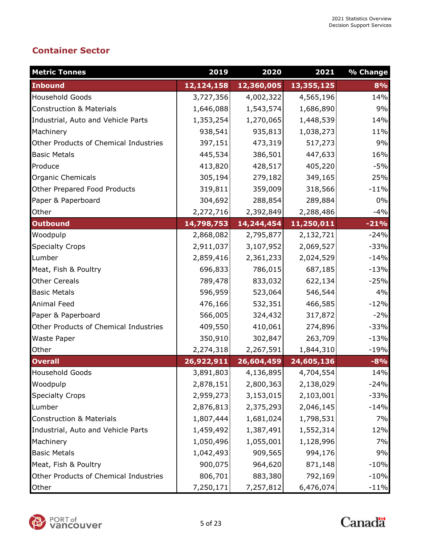## **Container Sector**

| <b>Metric Tonnes</b>                  | 2019       | 2020       | 2021       | % Change |
|---------------------------------------|------------|------------|------------|----------|
| <b>Inbound</b>                        | 12,124,158 | 12,360,005 | 13,355,125 | 8%       |
| <b>Household Goods</b>                | 3,727,356  | 4,002,322  | 4,565,196  | 14%      |
| <b>Construction &amp; Materials</b>   | 1,646,088  | 1,543,574  | 1,686,890  | 9%       |
| Industrial, Auto and Vehicle Parts    | 1,353,254  | 1,270,065  | 1,448,539  | 14%      |
| Machinery                             | 938,541    | 935,813    | 1,038,273  | 11%      |
| Other Products of Chemical Industries | 397,151    | 473,319    | 517,273    | 9%       |
| <b>Basic Metals</b>                   | 445,534    | 386,501    | 447,633    | 16%      |
| Produce                               | 413,820    | 428,517    | 405,220    | $-5%$    |
| Organic Chemicals                     | 305,194    | 279,182    | 349,165    | 25%      |
| Other Prepared Food Products          | 319,811    | 359,009    | 318,566    | $-11%$   |
| Paper & Paperboard                    | 304,692    | 288,854    | 289,884    | 0%       |
| Other                                 | 2,272,716  | 2,392,849  | 2,288,486  | $-4%$    |
| <b>Outbound</b>                       | 14,798,753 | 14,244,454 | 11,250,011 | $-21%$   |
| Woodpulp                              | 2,868,082  | 2,795,877  | 2,132,721  | $-24%$   |
| <b>Specialty Crops</b>                | 2,911,037  | 3,107,952  | 2,069,527  | $-33%$   |
| Lumber                                | 2,859,416  | 2,361,233  | 2,024,529  | $-14%$   |
| Meat, Fish & Poultry                  | 696,833    | 786,015    | 687,185    | $-13%$   |
| <b>Other Cereals</b>                  | 789,478    | 833,032    | 622,134    | $-25%$   |
| <b>Basic Metals</b>                   | 596,959    | 523,064    | 546,544    | 4%       |
| <b>Animal Feed</b>                    | 476,166    | 532,351    | 466,585    | $-12%$   |
| Paper & Paperboard                    | 566,005    | 324,432    | 317,872    | $-2%$    |
| Other Products of Chemical Industries | 409,550    | 410,061    | 274,896    | $-33%$   |
| Waste Paper                           | 350,910    | 302,847    | 263,709    | $-13%$   |
| Other                                 | 2,274,318  | 2,267,591  | 1,844,310  | $-19%$   |
| <b>Overall</b>                        | 26,922,911 | 26,604,459 | 24,605,136 | $-8%$    |
| <b>Household Goods</b>                | 3,891,803  | 4,136,895  | 4,704,554  | 14%      |
| Woodpulp                              | 2,878,151  | 2,800,363  | 2,138,029  | $-24%$   |
| <b>Specialty Crops</b>                | 2,959,273  | 3,153,015  | 2,103,001  | $-33%$   |
| Lumber                                | 2,876,813  | 2,375,293  | 2,046,145  | $-14%$   |
| <b>Construction &amp; Materials</b>   | 1,807,444  | 1,681,024  | 1,798,531  | 7%       |
| Industrial, Auto and Vehicle Parts    | 1,459,492  | 1,387,491  | 1,552,314  | 12%      |
| Machinery                             | 1,050,496  | 1,055,001  | 1,128,996  | 7%       |
| <b>Basic Metals</b>                   | 1,042,493  | 909,565    | 994,176    | 9%       |
| Meat, Fish & Poultry                  | 900,075    | 964,620    | 871,148    | $-10%$   |
| Other Products of Chemical Industries | 806,701    | 883,380    | 792,169    | $-10%$   |
| Other                                 | 7,250,171  | 7,257,812  | 6,476,074  | $-11%$   |

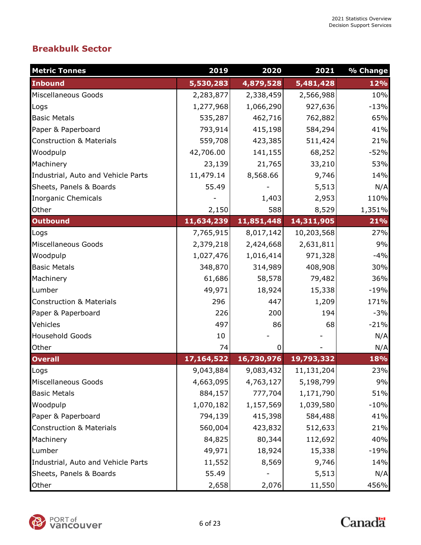## **Breakbulk Sector**

| <b>Metric Tonnes</b>                | 2019       | 2020       | 2021       | % Change |
|-------------------------------------|------------|------------|------------|----------|
| <b>Inbound</b>                      | 5,530,283  | 4,879,528  | 5,481,428  | 12%      |
| Miscellaneous Goods                 | 2,283,877  | 2,338,459  | 2,566,988  | 10%      |
| Logs                                | 1,277,968  | 1,066,290  | 927,636    | $-13%$   |
| <b>Basic Metals</b>                 | 535,287    | 462,716    | 762,882    | 65%      |
| Paper & Paperboard                  | 793,914    | 415,198    | 584,294    | 41%      |
| <b>Construction &amp; Materials</b> | 559,708    | 423,385    | 511,424    | 21%      |
| Woodpulp                            | 42,706.00  | 141,155    | 68,252     | $-52%$   |
| Machinery                           | 23,139     | 21,765     | 33,210     | 53%      |
| Industrial, Auto and Vehicle Parts  | 11,479.14  | 8,568.66   | 9,746      | 14%      |
| Sheets, Panels & Boards             | 55.49      |            | 5,513      | N/A      |
| <b>Inorganic Chemicals</b>          |            | 1,403      | 2,953      | 110%     |
| Other                               | 2,150      | 588        | 8,529      | 1,351%   |
| <b>Outbound</b>                     | 11,634,239 | 11,851,448 | 14,311,905 | 21%      |
| Logs                                | 7,765,915  | 8,017,142  | 10,203,568 | 27%      |
| Miscellaneous Goods                 | 2,379,218  | 2,424,668  | 2,631,811  | 9%       |
| Woodpulp                            | 1,027,476  | 1,016,414  | 971,328    | $-4%$    |
| <b>Basic Metals</b>                 | 348,870    | 314,989    | 408,908    | 30%      |
| Machinery                           | 61,686     | 58,578     | 79,482     | 36%      |
| Lumber                              | 49,971     | 18,924     | 15,338     | $-19%$   |
| <b>Construction &amp; Materials</b> | 296        | 447        | 1,209      | 171%     |
| Paper & Paperboard                  | 226        | 200        | 194        | $-3%$    |
| Vehicles                            | 497        | 86         | 68         | $-21%$   |
| <b>Household Goods</b>              | 10         |            |            | N/A      |
| Other                               | 74         | 0          |            | N/A      |
| <b>Overall</b>                      | 17,164,522 | 16,730,976 | 19,793,332 | 18%      |
| Logs                                | 9,043,884  | 9,083,432  | 11,131,204 | 23%      |
| Miscellaneous Goods                 | 4,663,095  | 4,763,127  | 5,198,799  | 9%       |
| <b>Basic Metals</b>                 | 884,157    | 777,704    | 1,171,790  | 51%      |
| Woodpulp                            | 1,070,182  | 1,157,569  | 1,039,580  | $-10%$   |
| Paper & Paperboard                  | 794,139    | 415,398    | 584,488    | 41%      |
| <b>Construction &amp; Materials</b> | 560,004    | 423,832    | 512,633    | 21%      |
| Machinery                           | 84,825     | 80,344     | 112,692    | 40%      |
| Lumber                              | 49,971     | 18,924     | 15,338     | $-19%$   |
| Industrial, Auto and Vehicle Parts  | 11,552     | 8,569      | 9,746      | 14%      |
| Sheets, Panels & Boards             | 55.49      |            | 5,513      | N/A      |
| Other                               | 2,658      | 2,076      | 11,550     | 456%     |

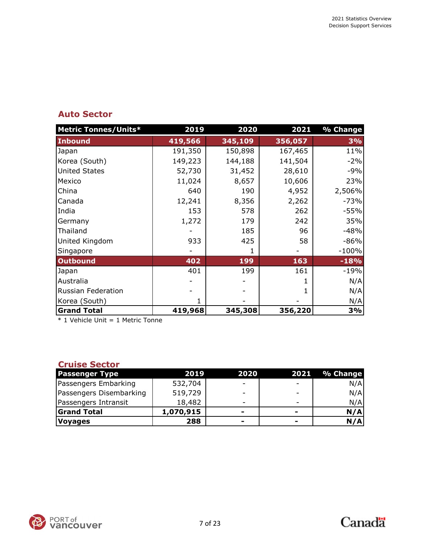## **Auto Sector**

| <b>Metric Tonnes/Units*</b> | 2019    | 2020    | 2021    | % Change |
|-----------------------------|---------|---------|---------|----------|
| <b>Inbound</b>              | 419,566 | 345,109 | 356,057 | 3%       |
| Japan                       | 191,350 | 150,898 | 167,465 | 11%      |
| Korea (South)               | 149,223 | 144,188 | 141,504 | $-2%$    |
| <b>United States</b>        | 52,730  | 31,452  | 28,610  | $-9%$    |
| Mexico                      | 11,024  | 8,657   | 10,606  | 23%      |
| China                       | 640     | 190     | 4,952   | 2,506%   |
| Canada                      | 12,241  | 8,356   | 2,262   | $-73%$   |
| India                       | 153     | 578     | 262     | $-55%$   |
| Germany                     | 1,272   | 179     | 242     | 35%      |
| Thailand                    |         | 185     | 96      | $-48%$   |
| United Kingdom              | 933     | 425     | 58      | $-86%$   |
| Singapore                   |         | 1       |         | $-100%$  |
| <b>Outbound</b>             | 402     | 199     | 163     | $-18%$   |
| Japan                       | 401     | 199     | 161     | $-19%$   |
| Australia                   |         |         | 1       | N/A      |
| Russian Federation          |         |         | 1       | N/A      |
| Korea (South)               |         |         |         | N/A      |
| <b>Grand Total</b>          | 419,968 | 345,308 | 356,220 | 3%       |

\* 1 Vehicle Unit = 1 Metric Tonne

### **Cruise Sector**

| <b>Passenger Type</b>   | 2019      | 2020                     | 2021                     | % Change |
|-------------------------|-----------|--------------------------|--------------------------|----------|
| Passengers Embarking    | 532,704   |                          | $\overline{\phantom{0}}$ | N/A      |
| Passengers Disembarking | 519,729   |                          | $\overline{\phantom{0}}$ | N/A      |
| Passengers Intransit    | 18,482    | -                        | $\overline{\phantom{0}}$ | N/A      |
| <b>Grand Total</b>      | 1,070,915 | -                        | $\overline{\phantom{0}}$ | N/A      |
| <b>Voyages</b>          | 288       | $\overline{\phantom{0}}$ | $\overline{\phantom{0}}$ | N/A      |

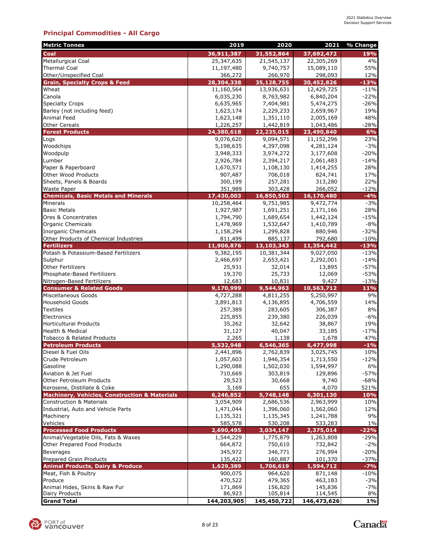### **Principal Commodities - All Cargo**

| <b>Metric Tonnes</b>                                       | 2019             | 2020             | 2021            | % Change         |
|------------------------------------------------------------|------------------|------------------|-----------------|------------------|
| Coal                                                       | 36,911,387       | 31,552,864       | 37,692,472      | 19%              |
| Metallurgical Coal                                         | 25,347,635       | 21,545,137       | 22,305,269      | 4%               |
| <b>Thermal Coal</b>                                        | 11,197,480       | 9,740,757        | 15,089,110      | 55%              |
| Other/Unspecified Coal                                     | 366,272          | 266,970          | 298,093         | 12%              |
| <b>Grain, Specialty Crops &amp; Feed</b>                   | 28,304,338       | 35,128,755       | 30,452,826      | $-13%$           |
| Wheat                                                      | 11,160,564       | 13,936,631       | 12,429,725      | $-11%$           |
| Canola                                                     | 6,035,230        | 8,763,982        | 6,840,204       | $-22%$           |
| <b>Specialty Crops</b>                                     | 6,635,965        | 7,404,981        | 5,474,275       | $-26%$           |
| Barley (not including feed)                                | 1,623,174        | 2,229,233        | 2,659,967       | 19%              |
| Animal Feed                                                | 1,623,148        | 1,351,110        | 2,005,169       | 48%              |
| <b>Other Cereals</b>                                       | 1,226,257        | 1,442,819        | 1,043,486       | $-28%$           |
| <b>Forest Products</b>                                     | 24,380,618       | 22,235,015       | 23,490,840      | 6%               |
| Logs                                                       | 9,076,620        | 9,094,571        | 11,152,296      | 23%              |
| Woodchips                                                  | 5,198,635        | 4,397,098        | 4,281,124       | $-3%$            |
| Woodpulp                                                   | 3,948,333        | 3,974,272        | 3,177,608       | $-20%$           |
| Lumber                                                     | 2,926,784        | 2,394,217        | 2,061,483       | $-14%$           |
| Paper & Paperboard                                         | 1,670,571        | 1,108,130        | 1,414,255       | 28%              |
| Other Wood Products                                        | 907,487          | 706,018          | 824,741         | 17%              |
| Sheets, Panels & Boards                                    | 300,199          | 257,281          | 313,280         | 22%              |
| <b>Waste Paper</b>                                         | 351,989          | 303,428          | 266,052         | $-12%$           |
| <b>Chemicals, Basic Metals and Minerals</b>                | 17,430,003       | 16,850,502       | 16,170,480      | $-4%$            |
| Minerals                                                   | 10,258,464       | 9,751,985        | 9,472,774       | $-3%$            |
| <b>Basic Metals</b>                                        | 1,927,987        | 1,691,251        | 2,171,166       | 28%              |
| Ores & Concentrates                                        | 1,794,790        | 1,689,654        | 1,442,124       | $-15%$           |
| <b>Organic Chemicals</b>                                   | 1,478,969        | 1,532,647        | 1,410,789       | $-8%$            |
| Inorganic Chemicals                                        | 1,158,294        | 1,299,828        | 880,946         | $-32%$           |
| Other Products of Chemical Industries                      | 811,499          | 885,137          | 792,680         | $-10%$           |
| <b>Fertilizers</b><br>Potash & Potassium-Based Fertilizers | 11,906,876       | 13,103,343       | 11,354,442      | $-13%$<br>$-13%$ |
|                                                            | 9,382,195        | 10,381,344       | 9,027,050       | $-14%$           |
| Sulphur<br><b>Other Fertilizers</b>                        | 2,466,697        | 2,653,421        | 2,292,001       | $-57%$           |
|                                                            | 25,931           | 32,014           | 13,895          | $-53%$           |
| Phosphate-Based Fertilizers<br>Nitrogen-Based Fertilizers  | 19,370<br>12,683 | 25,733<br>10,831 | 12,069<br>9,427 | $-13%$           |
| <b>Consumer &amp; Related Goods</b>                        | 9,170,999        | 9,544,963        | 10,563,712      | 11%              |
| Miscellaneous Goods                                        | 4,727,288        | 4,811,255        | 5,250,997       | 9%               |
| <b>Household Goods</b>                                     | 3,891,813        | 4,136,895        | 4,706,559       | 14%              |
| <b>Textiles</b>                                            | 257,389          | 283,605          | 306,387         | 8%               |
| Electronics                                                | 225,855          | 239,380          | 226,039         | $-6%$            |
| <b>Horticultural Products</b>                              | 35,262           | 32,642           | 38,867          | 19%              |
| <b>Health &amp; Medical</b>                                | 31,127           | 40,047           | 33,185          | $-17%$           |
| <b>Tobacco &amp; Related Products</b>                      | 2,265            | 1,138            | 1,678           | 47%              |
| <b>Petroleum Products</b>                                  | 5,532,948        | 6,546,365        | 6,477,998       | $-1%$            |
| Diesel & Fuel Oils                                         | 2,441,896        | 2,762,839        | 3,025,745       | 10%              |
| Crude Petroleum                                            | 1,057,603        | 1,946,354        | 1,713,550       | $-12%$           |
| Gasoline                                                   | 1,290,088        | 1,502,030        | 1,594,997       | 6%               |
| Aviation & Jet Fuel                                        | 710,669          | 303,819          | 129,896         | $-57%$           |
| Other Petroleum Products                                   | 29,523           | 30,668           | 9,740           | $-68%$           |
| Kerosene, Distillate & Coke                                | 3,169            | 655              | 4,070           | 521%             |
| <b>Machinery, Vehicles, Construction &amp; Materials</b>   | 6,246,852        | 5,748,148        | 6,301,130       | 10%              |
| <b>Construction &amp; Materials</b>                        | 3,054,909        | 2,686,536        | 2,963,999       | 10%              |
| Industrial, Auto and Vehicle Parts                         | 1,471,044        | 1,396,060        | 1,562,060       | 12%              |
| Machinery                                                  | 1,135,321        | 1,135,345        | 1,241,788       | 9%               |
| Vehicles                                                   | 585,578          | 530,208          | 533,283         | $1\%$            |
| <b>Processed Food Products</b>                             | 2,690,495        | 3,034,147        | 2,375,014       | $-22%$           |
| Animal/Vegetable Oils, Fats & Waxes                        | 1,544,229        | 1,775,879        | 1,263,808       | $-29%$           |
| Other Prepared Food Products                               | 664,872          | 750,610          | 732,842         | $-2%$            |
| <b>Beverages</b>                                           | 345,972          | 346,771          | 276,994         | $-20%$           |
| Prepared Grain Products                                    | 135,422          | 160,887          | 101,370         | $-37%$           |
| <b>Animal Products, Dairy &amp; Produce</b>                | 1,629,389        | 1,706,619        | 1,594,712       | $-7%$            |
| Meat, Fish & Poultry                                       | 900,075          | 964,620          | 871,148         | $-10%$           |
| Produce                                                    | 470,522          | 479,365          | 463,183         | $-3%$            |
| Animal Hides, Skins & Raw Fur                              | 171,869          | 156,820          | 145,836         | $-7%$            |
| Dairy Products                                             | 86,923           | 105,814          | 114,545         | 8%               |
| <b>Grand Total</b>                                         | 144,203,905      | 145,450,722      | 146,473,626     | 1%               |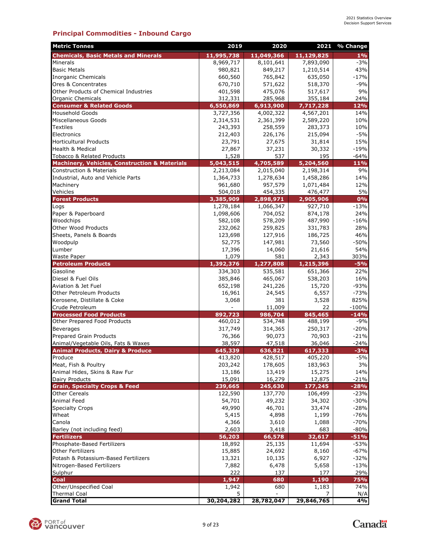### **Principal Commodities - Inbound Cargo**

| <b>Metric Tonnes</b>                                                                            | 2019                   | 2020               | 2021               | % Change         |
|-------------------------------------------------------------------------------------------------|------------------------|--------------------|--------------------|------------------|
| <b>Chemicals, Basic Metals and Minerals</b>                                                     | 11,995,738             | 11,049,366         | 11,129,825         | $1\%$            |
| Minerals                                                                                        | 8,969,717              | 8,101,641          | 7,893,090          | $-3%$            |
| <b>Basic Metals</b>                                                                             | 980,821                | 849,217            | 1,210,514          | 43%              |
| <b>Inorganic Chemicals</b>                                                                      | 660,560                | 765,842            | 635,050            | $-17%$           |
| Ores & Concentrates                                                                             | 670,710                | 571,622            | 518,370            | $-9%$            |
| Other Products of Chemical Industries                                                           | 401,598                | 475,076            | 517,617            | 9%               |
| <b>Organic Chemicals</b>                                                                        | 312,331                | 285,968            | 355,184            | 24%              |
| <b>Consumer &amp; Related Goods</b>                                                             | 6,550,869              | 6,913,900          | 7,717,228          | 12%              |
| <b>Household Goods</b>                                                                          | 3,727,356              | 4,002,322          | 4,567,201          | 14%              |
| Miscellaneous Goods                                                                             | 2,314,531              | 2,361,399          | 2,589,220          | 10%              |
| <b>Textiles</b>                                                                                 | 243,393                | 258,559            | 283,373            | 10%              |
| Electronics                                                                                     | 212,403                | 226,176            | 215,094            | $-5%$            |
| <b>Horticultural Products</b>                                                                   | 23,791                 | 27,675             | 31,814             | 15%              |
| <b>Health &amp; Medical</b>                                                                     | 27,867                 | 37,231             | 30,332             | $-19%$           |
| <b>Tobacco &amp; Related Products</b>                                                           | 1,528                  | 537<br>4,705,589   | 195<br>5,204,560   | $-64%$<br>11%    |
| <b>Machinery, Vehicles, Construction &amp; Materials</b><br><b>Construction &amp; Materials</b> | 5,043,515<br>2,213,084 | 2,015,040          | 2,198,314          | 9%               |
| Industrial, Auto and Vehicle Parts                                                              | 1,364,733              | 1,278,634          | 1,458,286          | 14%              |
| Machinery                                                                                       | 961,680                | 957,579            | 1,071,484          | 12%              |
| Vehicles                                                                                        | 504,018                | 454,335            | 476,477            | 5%               |
| <b>Forest Products</b>                                                                          | 3,385,909              | 2,898,971          | 2,905,906          | 0%               |
| Logs                                                                                            | 1,278,184              | 1,066,347          | 927,710            | $-13%$           |
| Paper & Paperboard                                                                              | 1,098,606              | 704,052            | 874,178            | 24%              |
| Woodchips                                                                                       | 582,108                | 578,209            | 487,990            | $-16%$           |
| Other Wood Products                                                                             | 232,062                | 259,825            | 331,783            | 28%              |
| Sheets, Panels & Boards                                                                         | 123,698                | 127,916            | 186,725            | 46%              |
| Woodpulp                                                                                        | 52,775                 | 147,981            | 73,560             | $-50%$           |
| Lumber                                                                                          | 17,396                 | 14,060             | 21,616             | 54%              |
| <b>Waste Paper</b>                                                                              | 1,079                  | 581                | 2,343              | 303%             |
| <b>Petroleum Products</b>                                                                       | 1,392,376              | 1,277,808          | 1,215,396          | $-5%$            |
| Gasoline                                                                                        | 334,303                | 535,581            | 651,366            | 22%              |
| Diesel & Fuel Oils                                                                              | 385,846                | 465,067            | 538,203            | 16%              |
| Aviation & Jet Fuel                                                                             | 652,198                | 241,226            | 15,720             | $-93%$           |
| Other Petroleum Products                                                                        | 16,961                 | 24,545             | 6,557              | $-73%$           |
| Kerosene, Distillate & Coke                                                                     | 3,068                  | 381                | 3,528              | 825%             |
| Crude Petroleum                                                                                 |                        | 11,009             | 22                 | $-100%$          |
| <b>Processed Food Products</b>                                                                  | 892,723                | 986,704            | 845,465            | $-14%$           |
| Other Prepared Food Products                                                                    | 460,012                | 534,748            | 488,199            | $-9%$            |
| Beverages                                                                                       | 317,749                | 314,365            | 250,317            | $-20%$           |
| Prepared Grain Products                                                                         | 76,366                 | 90,073             | 70,903             | $-21%$           |
| Animal/Vegetable Oils, Fats & Waxes                                                             | 38,597                 | 47,518             | 36,046             | $-24%$           |
| <b>Animal Products, Dairy &amp; Produce</b>                                                     | 645,339                | 636,821            | 617,333            | $-3%$            |
| Produce                                                                                         | 413,820                | 428,517            | 405,220            | $-5%$            |
| Meat, Fish & Poultry                                                                            | 203,242                | 178,605            | 183,963            | 3%               |
| Animal Hides, Skins & Raw Fur                                                                   | 13,186                 | 13,419             | 15,275             | 14%              |
| Dairy Products<br><b>Grain, Specialty Crops &amp; Feed</b>                                      | 15,091                 | 16,279             | 12,875             | $-21%$           |
| <b>Other Cereals</b>                                                                            | 239,665<br>122,590     | 245,630<br>137,770 | 177,245<br>106,499 | $-28%$<br>$-23%$ |
| <b>Animal Feed</b>                                                                              | 54,701                 | 49,232             | 34,302             | $-30%$           |
| <b>Specialty Crops</b>                                                                          | 49,990                 | 46,701             | 33,474             | $-28%$           |
| Wheat                                                                                           | 5,415                  | 4,898              | 1,199              | $-76%$           |
| Canola                                                                                          | 4,366                  | 3,610              | 1,088              | $-70%$           |
| Barley (not including feed)                                                                     | 2,603                  | 3,418              | 683                | $-80%$           |
| <b>Fertilizers</b>                                                                              | 56,203                 | 66,578             | 32,617             | $-51%$           |
| Phosphate-Based Fertilizers                                                                     | 18,892                 | 25,135             | 11,694             | $-53%$           |
| <b>Other Fertilizers</b>                                                                        | 15,885                 | 24,692             | 8,160              | $-67%$           |
| Potash & Potassium-Based Fertilizers                                                            | 13,321                 | 10,135             | 6,927              | $-32%$           |
| Nitrogen-Based Fertilizers                                                                      | 7,882                  | 6,478              | 5,658              | $-13%$           |
| Sulphur                                                                                         | 222                    | 137                | 177                | 29%              |
| Coal                                                                                            | 1,947                  | 680                | 1,190              | 75%              |
| Other/Unspecified Coal                                                                          | 1,942                  | 680                | 1,183              | 74%              |
| <b>Thermal Coal</b>                                                                             | 5                      |                    | 7                  | N/A              |
| <b>Grand Total</b>                                                                              | 30,204,282             | 28,782,047         | 29,846,765         | 4%               |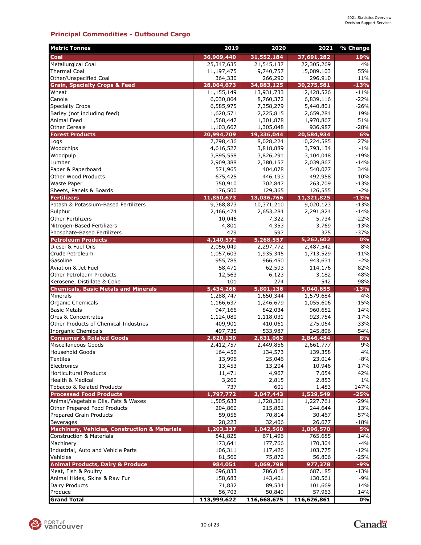### **Principal Commodities - Outbound Cargo**

| <b>Metric Tonnes</b>                                     | 2019               | 2020                 | 2021               | % Change        |
|----------------------------------------------------------|--------------------|----------------------|--------------------|-----------------|
| Coal                                                     | 36,909,440         | 31,552,184           | 37,691,282         | 19%             |
| <b>Metallurgical Coal</b>                                | 25,347,635         | 21,545,137           | 22,305,269         | 4%              |
| <b>Thermal Coal</b>                                      | 11,197,475         | 9,740,757            | 15,089,103         | 55%             |
| Other/Unspecified Coal                                   | 364,330            | 266,290              | 296,910            | 11%             |
| <b>Grain, Specialty Crops &amp; Feed</b>                 | 28,064,673         | 34,883,125           | 30,275,581         | $-13%$          |
| Wheat                                                    | 11,155,149         | 13,931,733           | 12,428,526         | $-11%$          |
| Canola                                                   | 6,030,864          | 8,760,372            | 6,839,116          | $-22%$          |
| <b>Specialty Crops</b>                                   | 6,585,975          | 7,358,279            | 5,440,801          | $-26%$          |
| Barley (not including feed)                              | 1,620,571          | 2,225,815            | 2,659,284          | 19%             |
| Animal Feed                                              | 1,568,447          | 1,301,878            | 1,970,867          | 51%             |
| <b>Other Cereals</b>                                     | 1,103,667          | 1,305,048            | 936,987            | $-28%$          |
| <b>Forest Products</b>                                   | 20,994,709         | 19,336,044           | 20,584,934         | 6%              |
| Logs                                                     | 7,798,436          | 8,028,224            | 10,224,585         | 27%             |
| Woodchips                                                | 4,616,527          | 3,818,889            | 3,793,134          | $-1%$           |
| Woodpulp                                                 | 3,895,558          | 3,826,291            | 3,104,048          | $-19%$          |
| Lumber                                                   | 2,909,388          | 2,380,157            | 2,039,867          | $-14%$<br>34%   |
| Paper & Paperboard                                       | 571,965<br>675,425 | 404,078<br>446,193   | 540,077<br>492,958 | 10%             |
| Other Wood Products<br>Waste Paper                       |                    |                      | 263,709            | $-13%$          |
| Sheets, Panels & Boards                                  | 350,910<br>176,500 | 302,847<br>129,365   | 126,555            | $-2%$           |
| <b>Fertilizers</b>                                       | 11,850,673         | 13,036,766           | 11,321,825         | $-13%$          |
| Potash & Potassium-Based Fertilizers                     | 9,368,873          | 10,371,210           | 9,020,123          | $-13%$          |
| Sulphur                                                  | 2,466,474          | 2,653,284            | 2,291,824          | $-14%$          |
| <b>Other Fertilizers</b>                                 | 10,046             | 7,322                | 5,734              | $-22%$          |
| Nitrogen-Based Fertilizers                               | 4,801              | 4,353                | 3,769              | $-13%$          |
| Phosphate-Based Fertilizers                              | 479                | 597                  | 375                | $-37%$          |
| <b>Petroleum Products</b>                                | 4,140,572          | 5,268,557            | 5,262,602          | 0%              |
| Diesel & Fuel Oils                                       | 2,056,049          | 2,297,772            | 2,487,542          | 8%              |
| Crude Petroleum                                          | 1,057,603          | 1,935,345            | 1,713,529          | $-11\%$         |
| Gasoline                                                 | 955,785            | 966,450              | 943,631            | $-2%$           |
| Aviation & Jet Fuel                                      | 58,471             | 62,593               | 114,176            | 82%             |
| Other Petroleum Products                                 | 12,563             | 6,123                | 3,182              | $-48%$          |
| Kerosene, Distillate & Coke                              | 101                | 274                  | 542                | 98%             |
| <b>Chemicals, Basic Metals and Minerals</b>              | 5,434,266          | 5,801,136            | 5,040,655          | $-13%$          |
| Minerals                                                 | 1,288,747          | 1,650,344            | 1,579,684          | $-4%$           |
| <b>Organic Chemicals</b>                                 | 1,166,637          | 1,246,679            | 1,055,606          | $-15%$          |
| <b>Basic Metals</b>                                      | 947,166            | 842,034              | 960,652            | 14%             |
| <b>Ores &amp; Concentrates</b>                           | 1,124,080          | 1,118,031            | 923,754            | $-17%$          |
| Other Products of Chemical Industries                    | 409,901            | 410,061              | 275,064            | $-33%$          |
| Inorganic Chemicals                                      | 497,735            | 533,987              | 245,896            | $-54%$          |
| <b>Consumer &amp; Related Goods</b>                      | 2,620,130          | 2,631,063            | 2,846,484          | 8%              |
| Miscellaneous Goods                                      | 2,412,757          | 2,449,856            | 2,661,777          | 9%              |
| <b>Household Goods</b>                                   | 164,456            | 134,573              | 139,358            | 4%              |
| <b>Textiles</b>                                          | 13,996             | 25,046               | 23,014             | $-8%$           |
| Electronics                                              | 13,453             | 13,204               | 10,946             | $-17%$          |
| <b>Horticultural Products</b>                            | 11,471             | 4,967                | 7,054              | 42%             |
| <b>Health &amp; Medical</b>                              | 3,260              | 2,815                | 2,853              | 1%              |
| <b>Tobacco &amp; Related Products</b>                    | 737                | 601                  | 1,483              | 147%            |
| <b>Processed Food Products</b>                           | 1,797,772          | 2,047,443            | 1,529,549          | $-25%$          |
| Animal/Vegetable Oils, Fats & Waxes                      | 1,505,633          | 1,728,361            | 1,227,761          | $-29%$          |
| Other Prepared Food Products                             | 204,860            | 215,862              | 244,644            | 13%             |
| Prepared Grain Products                                  | 59,056             | 70,814               | 30,467             | $-57%$          |
| <b>Beverages</b>                                         | 28,223             | 32,406               | 26,677             | $-18%$          |
| <b>Machinery, Vehicles, Construction &amp; Materials</b> | 1,203,337          | 1,042,560            | 1,096,570          | <b>5%</b>       |
| <b>Construction &amp; Materials</b>                      | 841,825            | 671,496              | 765,685            | 14%             |
| Machinery<br>Industrial, Auto and Vehicle Parts          | 173,641            | 177,766              | 170,304            | $-4%$<br>$-12%$ |
|                                                          | 106,311            | 117,426              | 103,775            |                 |
| Vehicles<br><b>Animal Products, Dairy &amp; Produce</b>  | 81,560<br>984,051  | 75,872               | 56,806             | $-25%$<br>$-9%$ |
| Meat, Fish & Poultry                                     | 696,833            | 1,069,798<br>786,015 | 977,378<br>687,185 | $-13%$          |
| Animal Hides, Skins & Raw Fur                            | 158,683            | 143,401              | 130,561            | $-9%$           |
| Dairy Products                                           | 71,832             | 89,534               | 101,669            | 14%             |
| Produce                                                  | 56,703             | 50,849               | 57,963             | 14%             |
| <b>Grand Total</b>                                       | 113,999,622        | 116,668,675          | 116,626,861        | 0%              |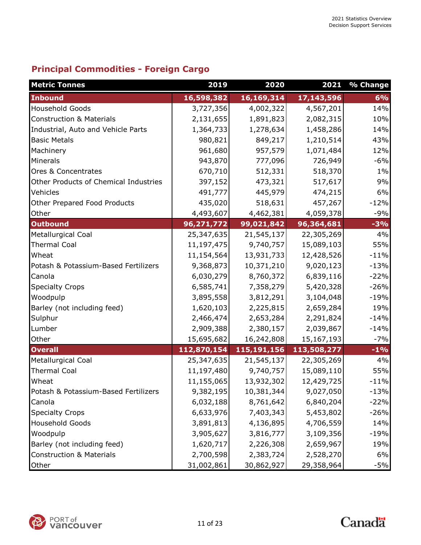## **Principal Commodities - Foreign Cargo**

| <b>Metric Tonnes</b>                  | 2019        | 2020        | 2021         | % Change |
|---------------------------------------|-------------|-------------|--------------|----------|
| <b>Inbound</b>                        | 16,598,382  | 16,169,314  | 17, 143, 596 | 6%       |
| <b>Household Goods</b>                | 3,727,356   | 4,002,322   | 4,567,201    | 14%      |
| <b>Construction &amp; Materials</b>   | 2,131,655   | 1,891,823   | 2,082,315    | 10%      |
| Industrial, Auto and Vehicle Parts    | 1,364,733   | 1,278,634   | 1,458,286    | 14%      |
| <b>Basic Metals</b>                   | 980,821     | 849,217     | 1,210,514    | 43%      |
| Machinery                             | 961,680     | 957,579     | 1,071,484    | 12%      |
| Minerals                              | 943,870     | 777,096     | 726,949      | $-6%$    |
| Ores & Concentrates                   | 670,710     | 512,331     | 518,370      | $1\%$    |
| Other Products of Chemical Industries | 397,152     | 473,321     | 517,617      | 9%       |
| Vehicles                              | 491,777     | 445,979     | 474,215      | 6%       |
| Other Prepared Food Products          | 435,020     | 518,631     | 457,267      | $-12%$   |
| Other                                 | 4,493,607   | 4,462,381   | 4,059,378    | $-9%$    |
| <b>Outbound</b>                       | 96,271,772  | 99,021,842  | 96,364,681   | $-3%$    |
| <b>Metallurgical Coal</b>             | 25,347,635  | 21,545,137  | 22,305,269   | 4%       |
| <b>Thermal Coal</b>                   | 11,197,475  | 9,740,757   | 15,089,103   | 55%      |
| Wheat                                 | 11,154,564  | 13,931,733  | 12,428,526   | $-11%$   |
| Potash & Potassium-Based Fertilizers  | 9,368,873   | 10,371,210  | 9,020,123    | $-13%$   |
| Canola                                | 6,030,279   | 8,760,372   | 6,839,116    | $-22%$   |
| <b>Specialty Crops</b>                | 6,585,741   | 7,358,279   | 5,420,328    | $-26%$   |
| Woodpulp                              | 3,895,558   | 3,812,291   | 3,104,048    | $-19%$   |
| Barley (not including feed)           | 1,620,103   | 2,225,815   | 2,659,284    | 19%      |
| Sulphur                               | 2,466,474   | 2,653,284   | 2,291,824    | $-14%$   |
| Lumber                                | 2,909,388   | 2,380,157   | 2,039,867    | $-14%$   |
| Other                                 | 15,695,682  | 16,242,808  | 15,167,193   | $-7%$    |
| <b>Overall</b>                        | 112,870,154 | 115,191,156 | 113,508,277  | $-1\%$   |
| <b>Metallurgical Coal</b>             | 25,347,635  | 21,545,137  | 22,305,269   | 4%       |
| <b>Thermal Coal</b>                   | 11,197,480  | 9,740,757   | 15,089,110   | 55%      |
| Wheat                                 | 11,155,065  | 13,932,302  | 12,429,725   | $-11%$   |
| Potash & Potassium-Based Fertilizers  | 9,382,195   | 10,381,344  | 9,027,050    | $-13%$   |
| Canola                                | 6,032,188   | 8,761,642   | 6,840,204    | $-22%$   |
| <b>Specialty Crops</b>                | 6,633,976   | 7,403,343   | 5,453,802    | $-26%$   |
| Household Goods                       | 3,891,813   | 4,136,895   | 4,706,559    | 14%      |
| Woodpulp                              | 3,905,627   | 3,816,777   | 3,109,356    | $-19%$   |
| Barley (not including feed)           | 1,620,717   | 2,226,308   | 2,659,967    | 19%      |
| <b>Construction &amp; Materials</b>   | 2,700,598   | 2,383,724   | 2,528,270    | 6%       |
| Other                                 | 31,002,861  | 30,862,927  | 29,358,964   | $-5%$    |

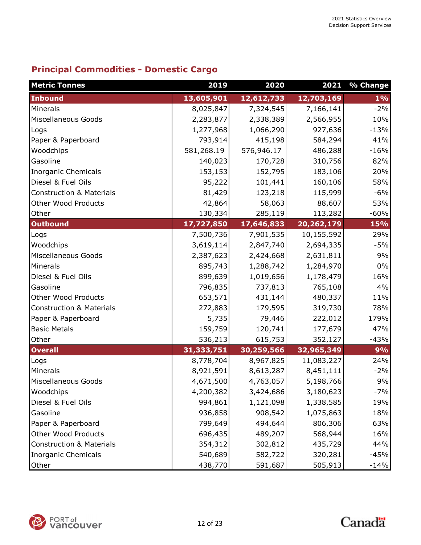## **Principal Commodities - Domestic Cargo**

| <b>Metric Tonnes</b>                | 2019       | 2020       |            | 2021 % Change |
|-------------------------------------|------------|------------|------------|---------------|
| <b>Inbound</b>                      | 13,605,901 | 12,612,733 | 12,703,169 | $1\%$         |
| Minerals                            | 8,025,847  | 7,324,545  | 7,166,141  | $-2%$         |
| Miscellaneous Goods                 | 2,283,877  | 2,338,389  | 2,566,955  | 10%           |
| Logs                                | 1,277,968  | 1,066,290  | 927,636    | $-13%$        |
| Paper & Paperboard                  | 793,914    | 415,198    | 584,294    | 41%           |
| Woodchips                           | 581,268.19 | 576,946.17 | 486,288    | $-16%$        |
| Gasoline                            | 140,023    | 170,728    | 310,756    | 82%           |
| <b>Inorganic Chemicals</b>          | 153,153    | 152,795    | 183,106    | 20%           |
| Diesel & Fuel Oils                  | 95,222     | 101,441    | 160,106    | 58%           |
| <b>Construction &amp; Materials</b> | 81,429     | 123,218    | 115,999    | $-6%$         |
| <b>Other Wood Products</b>          | 42,864     | 58,063     | 88,607     | 53%           |
| Other                               | 130,334    | 285,119    | 113,282    | $-60%$        |
| <b>Outbound</b>                     | 17,727,850 | 17,646,833 | 20,262,179 | 15%           |
| Logs                                | 7,500,736  | 7,901,535  | 10,155,592 | 29%           |
| Woodchips                           | 3,619,114  | 2,847,740  | 2,694,335  | $-5%$         |
| Miscellaneous Goods                 | 2,387,623  | 2,424,668  | 2,631,811  | 9%            |
| Minerals                            | 895,743    | 1,288,742  | 1,284,970  | $0\%$         |
| Diesel & Fuel Oils                  | 899,639    | 1,019,656  | 1,178,479  | 16%           |
| Gasoline                            | 796,835    | 737,813    | 765,108    | 4%            |
| Other Wood Products                 | 653,571    | 431,144    | 480,337    | 11%           |
| <b>Construction &amp; Materials</b> | 272,883    | 179,595    | 319,730    | 78%           |
| Paper & Paperboard                  | 5,735      | 79,446     | 222,012    | 179%          |
| <b>Basic Metals</b>                 | 159,759    | 120,741    | 177,679    | 47%           |
| Other                               | 536,213    | 615,753    | 352,127    | $-43%$        |
| <b>Overall</b>                      | 31,333,751 | 30,259,566 | 32,965,349 | 9%            |
| Logs                                | 8,778,704  | 8,967,825  | 11,083,227 | 24%           |
| Minerals                            | 8,921,591  | 8,613,287  | 8,451,111  | $-2%$         |
| Miscellaneous Goods                 | 4,671,500  | 4,763,057  | 5,198,766  | 9%            |
| Woodchips                           | 4,200,382  | 3,424,686  | 3,180,623  | $-7%$         |
| Diesel & Fuel Oils                  | 994,861    | 1,121,098  | 1,338,585  | 19%           |
| Gasoline                            | 936,858    | 908,542    | 1,075,863  | 18%           |
| Paper & Paperboard                  | 799,649    | 494,644    | 806,306    | 63%           |
| Other Wood Products                 | 696,435    | 489,207    | 568,944    | 16%           |
| <b>Construction &amp; Materials</b> | 354,312    | 302,812    | 435,729    | 44%           |
| <b>Inorganic Chemicals</b>          | 540,689    | 582,722    | 320,281    | $-45%$        |
| Other                               | 438,770    | 591,687    | 505,913    | $-14%$        |

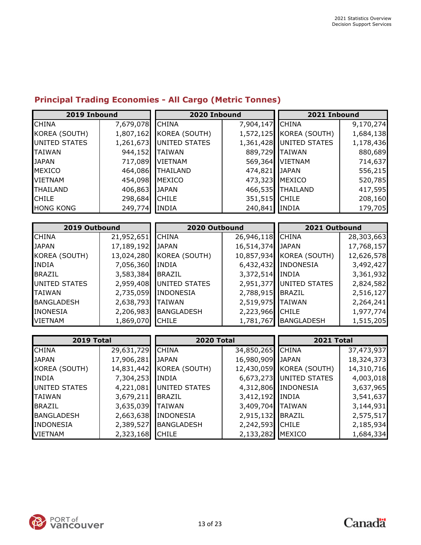## **Principal Trading Economies - All Cargo (Metric Tonnes)**

| 2019 Inbound     |           | 2020 Inbound    |                 | 2021 Inbound             |           |
|------------------|-----------|-----------------|-----------------|--------------------------|-----------|
| <b>CHINA</b>     | 7,679,078 | <b>CHINA</b>    | 7,904,147 CHINA |                          | 9,170,274 |
| KOREA (SOUTH)    | 1,807,162 | KOREA (SOUTH)   |                 | 1,572,125 KOREA (SOUTH)  | 1,684,138 |
| UNITED STATES    | 1,261,673 | UNITED STATES   |                 | 1,361,428 JUNITED STATES | 1,178,436 |
| <b>TAIWAN</b>    | 944,152   | TAIWAN          |                 | 889,729 TAIWAN           | 880,689   |
| <b>JAPAN</b>     | 717,089   | <b>VIETNAM</b>  |                 | 569,364 VIETNAM          | 714,637   |
| <b>MEXICO</b>    | 464,086   | <b>THAILAND</b> | 474,821 JAPAN   |                          | 556,215   |
| <b>VIETNAM</b>   | 454,098   | MEXICO          | 473,323 MEXICO  |                          | 520,785   |
| <b>THAILAND</b>  | 406,863   | <b>JAPAN</b>    |                 | 466,535 THAILAND         | 417,595   |
| <b>CHILE</b>     | 298,684   | <b>CHILE</b>    | 351,515 CHILE   |                          | 208,160   |
| <b>HONG KONG</b> | 249,774   | <b>INDIA</b>    | 240,841 INDIA   |                          | 179,705   |

| 2019 Outbound   |            | 2020 Outbound     |                  | 2021 Outbound            |            |
|-----------------|------------|-------------------|------------------|--------------------------|------------|
| <b>CHINA</b>    | 21,952,651 | <b>CHINA</b>      | 26,946,118 CHINA |                          | 28,303,663 |
| <b>JAPAN</b>    | 17,189,192 | <b>JAPAN</b>      | 16,514,374 JAPAN |                          | 17,768,157 |
| KOREA (SOUTH)   | 13,024,280 | KOREA (SOUTH)     |                  | 10,857,934 KOREA (SOUTH) | 12,626,578 |
| <b>INDIA</b>    | 7,056,360  | <b>INDIA</b>      |                  | 6,432,432 INDONESIA      | 3,492,427  |
| <b>BRAZIL</b>   | 3,583,384  | <b>BRAZIL</b>     | 3,372,514 INDIA  |                          | 3,361,932  |
| UNITED STATES   | 2,959,408  | UNITED STATES     |                  | 2,951,377 JUNITED STATES | 2,824,582  |
| <b>TAIWAN</b>   | 2,735,059  | <b>INDONESIA</b>  | 2,788,915 BRAZIL |                          | 2,516,127  |
| BANGLADESH      | 2,638,793  | <b>TAIWAN</b>     | 2,519,975 TAIWAN |                          | 2,264,241  |
| <b>INONESIA</b> | 2,206,983  | <b>BANGLADESH</b> | 2,223,966 CHILE  |                          | 1,977,774  |
| <b>VIETNAM</b>  | 1,869,070  | <b>CHILE</b>      |                  | 1,781,767 BANGLADESH     | 1,515,205  |

| 2019 Total        |            | <b>2020 Total</b> |                    | 2021 Total               |            |
|-------------------|------------|-------------------|--------------------|--------------------------|------------|
| <b>CHINA</b>      | 29,631,729 | <b>CHINA</b>      | 34,850,265 CHINA   |                          | 37,473,937 |
| <b>JAPAN</b>      | 17,906,281 | <b>JAPAN</b>      | 16,980,909 JAPAN   |                          | 18,324,373 |
| KOREA (SOUTH)     | 14,831,442 | KOREA (SOUTH)     |                    | 12,430,059 KOREA (SOUTH) | 14,310,716 |
| <b>INDIA</b>      | 7,304,253  | <b>INDIA</b>      |                    | 6,673,273 UNITED STATES  | 4,003,018  |
| UNITED STATES     | 4,221,081  | UNITED STATES     |                    | 4,312,806 INDONESIA      | 3,637,965  |
| <b>TAIWAN</b>     | 3,679,211  | BRAZIL            | 3,412,192 INDIA    |                          | 3,541,637  |
| <b>BRAZIL</b>     | 3,635,039  | <b>TAIWAN</b>     | 3,409,704   TAIWAN |                          | 3,144,931  |
| <b>BANGLADESH</b> | 2,663,638  | <b>INDONESIA</b>  | 2,915,132          | <b>BRAZIL</b>            | 2,575,517  |
| <b>INDONESIA</b>  | 2,389,527  | <b>BANGLADESH</b> | 2,242,593 CHILE    |                          | 2,185,934  |
| <b>VIETNAM</b>    | 2,323,168  | <b>CHILE</b>      | 2,133,282 MEXICO   |                          | 1,684,334  |

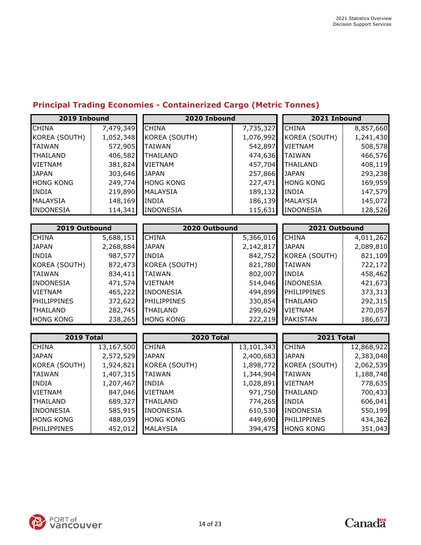## **Principal Trading Economies - Containerized Cargo (Metric Tonnes)**

| 2019 Inbound     |           | 2020 Inbound     |           | 2021 Inbound     |           |
|------------------|-----------|------------------|-----------|------------------|-----------|
| <b>CHINA</b>     | 7,479,349 | <b>CHINA</b>     | 7,735,327 | <b>CHINA</b>     | 8,857,660 |
| KOREA (SOUTH)    | 1,052,348 | KOREA (SOUTH)    | 1,076,992 | KOREA (SOUTH)    | 1,241,430 |
| <b>TAIWAN</b>    | 572,905   | <b>TAIWAN</b>    | 542,897   | <b>VIETNAM</b>   | 508,578   |
| <b>ITHAILAND</b> | 406,582   | <b>THAILAND</b>  | 474,636   | <b>TAIWAN</b>    | 466,576   |
| <b>VIETNAM</b>   | 381,824   | <b>VIETNAM</b>   | 457,704   | <b>THAILAND</b>  | 408,119   |
| <b>JAPAN</b>     | 303,646   | <b>JAPAN</b>     | 257,866   | <b>JAPAN</b>     | 293,238   |
| <b>HONG KONG</b> | 249,774   | <b>HONG KONG</b> | 227,471   | <b>HONG KONG</b> | 169,959   |
| <b>INDIA</b>     | 219,890   | <b>MALAYSIA</b>  | 189,132   | <b>INDIA</b>     | 147,579   |
| <b>MALAYSIA</b>  | 148,169   | INDIA            | 186,139   | <b>MALAYSIA</b>  | 145,072   |
| <b>INDONESIA</b> | 114,341   | INDONESIA        | 115,631   | INDONESIA        | 128,526   |

| 2019 Outbound    |           | 2020 Outbound      |           | 2021 Outbound    |           |
|------------------|-----------|--------------------|-----------|------------------|-----------|
| <b>CHINA</b>     | 5,688,151 | <b>CHINA</b>       | 5,366,016 | <b>CHINA</b>     | 4,011,262 |
| <b>JAPAN</b>     | 2,268,884 | <b>JAPAN</b>       | 2,142,817 | <b>JAPAN</b>     | 2,089,810 |
| <b>INDIA</b>     | 987,577   | <b>INDIA</b>       | 842,752   | KOREA (SOUTH)    | 821,109   |
| KOREA (SOUTH)    | 872,473   | KOREA (SOUTH)      | 821,780   | <b>TAIWAN</b>    | 722,172   |
| <b>TAIWAN</b>    | 834,411   | <b>TAIWAN</b>      | 802,007   | <b>INDIA</b>     | 458,462   |
| <b>INDONESIA</b> | 471,574   | <b>VIETNAM</b>     | 514,046   | <b>INDONESIA</b> | 421,673   |
| <b>VIETNAM</b>   | 465,222   | <b>INDONESIA</b>   | 494,899   | PHILIPPINES      | 373,313   |
| PHILIPPINES      | 372,622   | <b>PHILIPPINES</b> | 330,854   | <b>THAILAND</b>  | 292,315   |
| <b>THAILAND</b>  | 282,745   | <b>THAILAND</b>    | 299,629   | <b>VIETNAM</b>   | 270,057   |
| <b>HONG KONG</b> | 238,265   | <b>HONG KONG</b>   | 222,219   | <b>PAKISTAN</b>  | 186,673   |

| 2019 Total        |            | 2020 Total       |            | 2021 Total         |            |
|-------------------|------------|------------------|------------|--------------------|------------|
| <b>CHINA</b>      | 13,167,500 | <b>CHINA</b>     | 13,101,343 | <b>CHINA</b>       | 12,868,922 |
| <b>JAPAN</b>      | 2,572,529  | JAPAN            | 2,400,683  | <b>JAPAN</b>       | 2,383,048  |
| KOREA (SOUTH)     | 1,924,821  | KOREA (SOUTH)    | 1,898,772  | KOREA (SOUTH)      | 2,062,539  |
| <b>ITAIWAN</b>    | 1,407,315  | <b>TAIWAN</b>    | 1,344,904  | <b>TAIWAN</b>      | 1,188,748  |
| <b>INDIA</b>      | 1,207,467  | <b>INDIA</b>     | 1,028,891  | <b>VIETNAM</b>     | 778,635    |
| <b>VIETNAM</b>    | 847,046    | <b>VIETNAM</b>   | 971,750    | <b>THAILAND</b>    | 700,433    |
| <b>I</b> THAILAND | 689,327    | THAILAND         | 774,265    | <b>INDIA</b>       | 606,041    |
| <b>INDONESIA</b>  | 585,915    | INDONESIA        | 610,530    | <b>INDONESIA</b>   | 550,199    |
| <b>HONG KONG</b>  | 488,039    | <b>HONG KONG</b> | 449,690    | <b>PHILIPPINES</b> | 434,362    |
| PHILIPPINES       | 452,012    | <b>MALAYSIA</b>  | 394,475    | <b>HONG KONG</b>   | 351,043    |

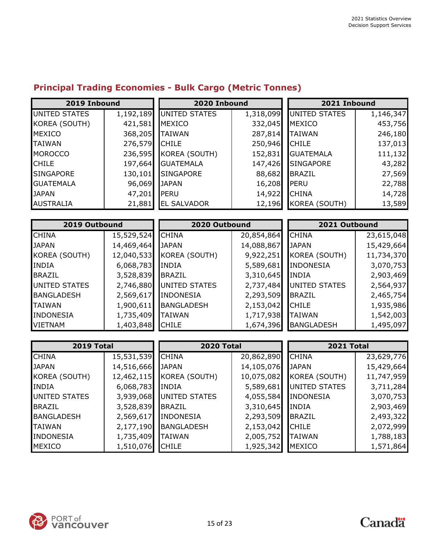## **Principal Trading Economies - Bulk Cargo (Metric Tonnes)**

| 2019 Inbound     |           | 2020 Inbound       |           | 2021 Inbound     |           |
|------------------|-----------|--------------------|-----------|------------------|-----------|
| UNITED STATES    | 1,192,189 | UNITED STATES      | 1,318,099 | UNITED STATES    | 1,146,347 |
| KOREA (SOUTH)    | 421,581   | MEXICO             | 332,045   | MEXICO           | 453,756   |
| <b>MEXICO</b>    | 368,205   | <b>TAIWAN</b>      | 287,814   | <b>TAIWAN</b>    | 246,180   |
| <b>TAIWAN</b>    | 276,579   | <b>CHILE</b>       | 250,946   | <b>CHILE</b>     | 137,013   |
| <b>MOROCCO</b>   | 236,595   | KOREA (SOUTH)      | 152,831   | <b>GUATEMALA</b> | 111,132   |
| <b>CHILE</b>     | 197,664   | <b>GUATEMALA</b>   | 147,426   | <b>SINGAPORE</b> | 43,282    |
| <b>SINGAPORE</b> | 130,101   | SINGAPORE          | 88,682    | <b>BRAZIL</b>    | 27,569    |
| <b>GUATEMALA</b> | 96,069    | <b>JAPAN</b>       | 16,208    | PERU             | 22,788    |
| <b>JAPAN</b>     | 47,201    | PERU               | 14,922    | <b>CHINA</b>     | 14,728    |
| <b>AUSTRALIA</b> | 21,881    | <b>EL SALVADOR</b> | 12,196    | KOREA (SOUTH)    | 13,589    |

| 2019 Outbound     |                 | 2020 Outbound           |            | 2021 Outbound     |            |
|-------------------|-----------------|-------------------------|------------|-------------------|------------|
| <b>CHINA</b>      | 15,529,524      | <b>CHINA</b>            | 20,854,864 | <b>CHINA</b>      | 23,615,048 |
| <b>JAPAN</b>      | 14,469,464      | <b>JAPAN</b>            | 14,088,867 | <b>JAPAN</b>      | 15,429,664 |
| KOREA (SOUTH)     | 12,040,533      | KOREA (SOUTH)           | 9,922,251  | KOREA (SOUTH)     | 11,734,370 |
| <b>INDIA</b>      | 6,068,783       | <b>INDIA</b>            | 5,589,681  | <b>INDONESIA</b>  | 3,070,753  |
| <b>BRAZIL</b>     | 3,528,839       | BRAZIL                  | 3,310,645  | <b>INDIA</b>      | 2,903,469  |
| UNITED STATES     |                 | 2,746,880 UNITED STATES | 2,737,484  | UNITED STATES     | 2,564,937  |
| <b>BANGLADESH</b> | 2,569,617       | <b>INDONESIA</b>        | 2,293,509  | <b>BRAZIL</b>     | 2,465,754  |
| <b>TAIWAN</b>     | 1,900,611       | <b>BANGLADESH</b>       | 2,153,042  | <b>CHILE</b>      | 1,935,986  |
| <b>INDONESIA</b>  | 1,735,409       | <b>TAIWAN</b>           | 1,717,938  | <b>TAIWAN</b>     | 1,542,003  |
| <b>VIETNAM</b>    | 1,403,848 CHILE |                         | 1,674,396  | <b>BANGLADESH</b> | 1,495,097  |

| 2019 Total        |            | <b>2020 Total</b> |            | 2021 Total       |            |
|-------------------|------------|-------------------|------------|------------------|------------|
| <b>CHINA</b>      | 15,531,539 | <b>CHINA</b>      | 20,862,890 | <b>CHINA</b>     | 23,629,776 |
| <b>JAPAN</b>      | 14,516,666 | <b>JAPAN</b>      | 14,105,076 | <b>JAPAN</b>     | 15,429,664 |
| KOREA (SOUTH)     | 12,462,115 | KOREA (SOUTH)     | 10,075,082 | KOREA (SOUTH)    | 11,747,959 |
| <b>INDIA</b>      | 6,068,783  | <b>INDIA</b>      | 5,589,681  | UNITED STATES    | 3,711,284  |
| UNITED STATES     | 3,939,068  | UNITED STATES     | 4,055,584  | <b>INDONESIA</b> | 3,070,753  |
| <b>BRAZIL</b>     | 3,528,839  | <b>BRAZIL</b>     | 3,310,645  | <b>INDIA</b>     | 2,903,469  |
| <b>BANGLADESH</b> | 2,569,617  | INDONESIA         | 2,293,509  | <b>BRAZIL</b>    | 2,493,322  |
| <b>TAIWAN</b>     | 2,177,190  | <b>BANGLADESH</b> | 2,153,042  | <b>CHILE</b>     | 2,072,999  |
| <b>INDONESIA</b>  | 1,735,409  | <b>TAIWAN</b>     | 2,005,752  | <b>TAIWAN</b>    | 1,788,183  |
| MEXICO            | 1,510,076  | <b>CHILE</b>      | 1,925,342  | MEXICO           | 1,571,864  |

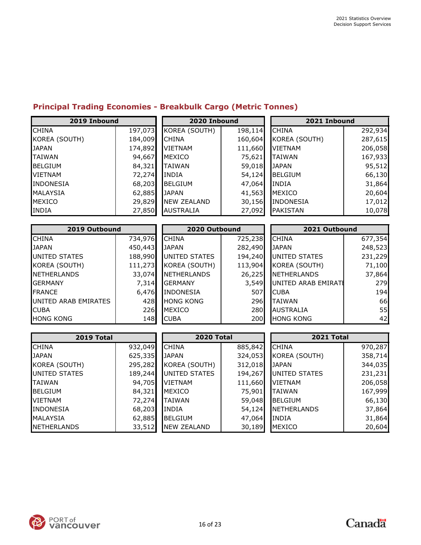## **Principal Trading Economies - Breakbulk Cargo (Metric Tonnes)**

| 2019 Inbound         |         | 2020 Inbound         |                   | 2021 Inbound         |            |  |
|----------------------|---------|----------------------|-------------------|----------------------|------------|--|
| <b>CHINA</b>         | 197,073 | KOREA (SOUTH)        | 198,114           | <b>CHINA</b>         | 292,934    |  |
| KOREA (SOUTH)        | 184,009 | <b>CHINA</b>         | 160,604           | KOREA (SOUTH)        | 287,615    |  |
| <b>JAPAN</b>         | 174,892 | <b>VIETNAM</b>       | 111,660           | VIETNAM              | 206,058    |  |
| <b>TAIWAN</b>        | 94,667  | <b>MEXICO</b>        | 75,621            | <b>TAIWAN</b>        | 167,933    |  |
| <b>BELGIUM</b>       | 84,321  | <b>TAIWAN</b>        | 59,018            | <b>JAPAN</b>         | 95,512     |  |
| VIETNAM              | 72,274  | <b>INDIA</b>         | 54,124            | <b>BELGIUM</b>       | 66,130     |  |
| INDONESIA            | 68,203  | <b>BELGIUM</b>       | 47,064            | <b>INDIA</b>         | 31,864     |  |
| MALAYSIA             | 62,885  | <b>JAPAN</b>         | 41,563            | MEXICO               | 20,604     |  |
| <b>MEXICO</b>        | 29,829  | <b>NEW ZEALAND</b>   | 30,156            | <b>INDONESIA</b>     | 17,012     |  |
| <b>INDIA</b>         | 27,850  | <b>AUSTRALIA</b>     | 27,092            | PAKISTAN             | 10,078     |  |
| 2019 Outbound        |         | 2020 Outbound        |                   | 2021 Outbound        |            |  |
|                      |         |                      |                   |                      |            |  |
| <b>CHINA</b>         | 734,976 | <b>CHINA</b>         | 725,238           | <b>CHINA</b>         | 677,354    |  |
| <b>JAPAN</b>         | 450,443 | <b>JAPAN</b>         | 282,490           | <b>JAPAN</b>         | 248,523    |  |
| <b>UNITED STATES</b> | 188,990 | <b>UNITED STATES</b> | 194,240           | <b>UNITED STATES</b> | 231,229    |  |
| KOREA (SOUTH)        | 111,273 | KOREA (SOUTH)        | 113,904           | KOREA (SOUTH)        | 71,100     |  |
| <b>NETHERLANDS</b>   | 33,074  | <b>NETHERLANDS</b>   | 26,225            | <b>NETHERLANDS</b>   | 37,864     |  |
| <b>GERMANY</b>       | 7,314   | <b>GERMANY</b>       | 3,549             | UNITED ARAB EMIRATI  | 279        |  |
| <b>FRANCE</b>        | 6,476   | <b>INDONESIA</b>     | 507               | <b>CUBA</b>          | 194        |  |
| UNITED ARAB EMIRATES | 428     | <b>HONG KONG</b>     | 296               | <b>TAIWAN</b>        | 66         |  |
| <b>CUBA</b>          | 226     | <b>MEXICO</b>        | 280               | <b>AUSTRALIA</b>     | 55         |  |
| <b>HONG KONG</b>     | 148     | <b>CUBA</b>          | 200               | <b>HONG KONG</b>     | 42         |  |
| 2019 Total           |         |                      | <b>2020 Total</b> |                      | 2021 Total |  |
| <b>CHINA</b>         | 932,049 | <b>CHINA</b>         | 885,842           | <b>CHINA</b>         | 970,287    |  |
| <b>JAPAN</b>         | 625,335 | <b>JAPAN</b>         | 324,053           | KOREA (SOUTH)        | 358,714    |  |
| KOREA (SOUTH)        | 295,282 | KOREA (SOUTH)        | 312,018           | <b>JAPAN</b>         | 344,035    |  |
| <b>UNITED STATES</b> | 189,244 | <b>UNITED STATES</b> | 194,267           | <b>UNITED STATES</b> | 231,231    |  |
| <b>TAIWAN</b>        | 94,705  | <b>VIETNAM</b>       | 111,660           | <b>VIETNAM</b>       | 206,058    |  |
| <b>BELGIUM</b>       | 84,321  | <b>MEXICO</b>        | 75,901            | <b>TAIWAN</b>        | 167,999    |  |
| VIETNAM              | 72,274  | <b>TAIWAN</b>        | 59,048            | <b>BELGIUM</b>       | 66,130     |  |
| INDONESIA            | 68,203  | <b>INDIA</b>         | 54,124            | <b>NETHERLANDS</b>   | 37,864     |  |
| <b>MALAYSIA</b>      | 62,885  | <b>BELGIUM</b>       | 47,064            | <b>INDIA</b>         | 31,864     |  |
| <b>NETHERLANDS</b>   | 33,512  | <b>NEW ZEALAND</b>   | 30,189            | MEXICO               | 20,604     |  |

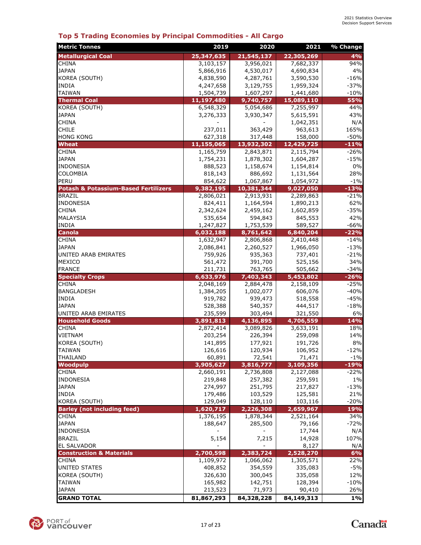### **Metric Tonnes 2019 2020 2021 % Change Metallurgical Coal 25,347,635 21,545,137 22,305,269 4%** CHINA 3,103,157 3,956,021 7,682,337 94% JAPAN 5,866,916 4,530,017 4,690,834 4% KOREA (SOUTH) 4,287,761 4,838,590 3,590,530 -16% INDIA 4,247,658 3,129,755 1,959,324 -37% TAIWAN 1,504,739 1,607,297 1,441,680 -10% **Thermal Coal 11,197,480 9,740,757 15,089,110 55%** KOREA (SOUTH) 6,548,329 5,054,686 7,255,997 44% JAPAN 3,276,333 3,930,347 5,615,591 43% CHINA - - 1,042,351 N/A CHILE 237,011 363,429 963,613 165% HONG KONG 627,318 | 317,448 | 158,000 | -50% **Wheat 11,155,065 13,932,302 12,429,725 -11%** CHINA 1,165,759 2,843,871 2,115,794 -26% JAPAN 1,754,231 1,878,302 1,604,287 -15% INDONESIA 888,523 1,158,674 1,154,814 0% COLOMBIA 818,143 886,692 1,131,564 28% PERU 854,622 1,067,867 1,054,972 -1% **Potash & Potassium-Based Fertilizers 9,382,195 10,381,34 9,027,050 4 -13%** BRAZIL 2,806,021 2,913,931 2,289,863 -21% INDONESIA 824,411 1,164,594 1,890,213 62% CHINA 2,342,624 2,459,162 1,602,859 -35% MALAYSIA 535,654 594,843 845,553 42% INDIA 1,247,827 1,753,539 589,527 -66% **Canola 6,032,188 8,761,642 6,840,204 -22%** CHINA 1,632,947 2,806,868 2,410,448 -14% JAPAN 2,086,841 2,260,527 1,966,050 -13% UNITED ARAB EMIRATES 759,926 935,363 737,401 -21% MEXICO 561,472 391,700 525,156 34% FRANCE 211,731 763,765 505,662 -34% **Specialty Crops 6,633,976 7,403,343 5,453,802 -26%** CHINA 2,048,169 2,884,478 2,158,109 -25% BANGLADESH 1,384,205 1,002,077 606,076 -40% INDIA 919,782 939,473 518,558 -45% JAPAN 528,388 540,357 444,517 -18% UNITED ARAB EMIRATES  $\begin{array}{|c|c|c|c|c|c|c|c|c|} \hline \text{0.303,494} & \text{303,494} & \text{321,550} & \text{6\%} \ \hline \end{array}$ **Household Goods 3,891,813 4,136,895 4,706,559 14%** CHINA 2,872,414 3,089,826 3,633,191 18% VIETNAM 203,254 226,394 259,098 14% KOREA (SOUTH) 141,895 | 177,921 | 191,726 | 8% TAIWAN 126,616 120,934 106,952 -12% THAILAND 60,891 72,541 71,471 -1% **Woodpulp 3,816,777 3,905,627 3,109,356 -19%** CHINA 2,660,191 2,736,808 2,127,088 -22% INDONESIA 219,848 257,382 259,591 1% JAPAN 274,997 251,795 217,827 -13% INDIA 179,486 103,529 125,581 21% KOREA (SOUTH) 128,110 129,049 103,116 -20% **Barley (not including feed) 2,226,308 1,620,717 2,659,967 19%** CHINA 34% 1,376,195 1,878,344 2,521,164 34% JAPAN 188,647 285,500 79,166 -72% INDONESIA - - 17,744 N/A BRAZIL 5,154 7,215 14,928 107% EL SALVADOR - - 8,127 N/A **Construction & Materials 2,700,598 2,383,724 2,528,270 6%** CHINA 1,109,972 1,066,062 1,305,571 22% UNITED STATES 408,852 354,559 335,083 -5% KOREA (SOUTH) 300,045 326,630 335,058 12% TAIWAN 165,982 142,751 128,394 -10% JAPAN 213,523 71,973 90,410 26% **GRAND TOTAL 81,867,293 84,328,228 84,149,313 1%**

### **Top 5 Trading Economies by Principal Commodities - All Cargo**

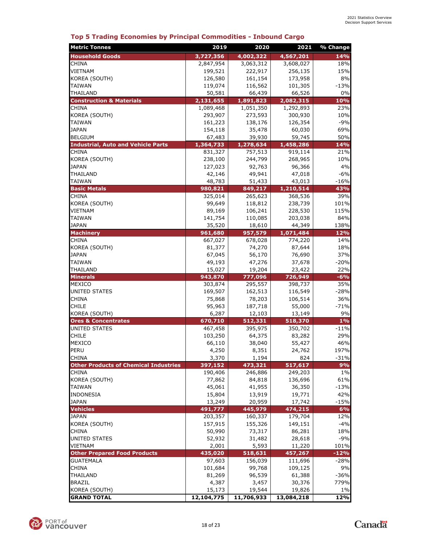| <b>Metric Tonnes</b>                         | 2019              | 2020              | 2021                 | % Change   |
|----------------------------------------------|-------------------|-------------------|----------------------|------------|
| <b>Household Goods</b>                       | 3,727,356         | 4,002,322         | 4,567,201            | 14%        |
| <b>CHINA</b>                                 | 2,847,954         | 3,063,312         | 3,608,027            | 18%        |
| VIETNAM                                      | 199,521           | 222,917           | 256,135              | 15%        |
| KOREA (SOUTH)                                | 126,580           | 161,154           | 173,958              | 8%         |
| TAIWAN                                       | 119,074           | 116,562           | 101,305              | $-13%$     |
| THAILAND                                     | 50,581            | 66,439            | 66,526               | 0%         |
| <b>Construction &amp; Materials</b>          | 2,131,655         | 1,891,823         | 2,082,315            | 10%        |
| <b>CHINA</b>                                 | 1,089,468         | 1,051,350         | 1,292,893            | 23%        |
| KOREA (SOUTH)                                | 293,907           | 273,593           | 300,930              | 10%        |
| TAIWAN                                       | 161,223           | 138,176           | 126,354              | $-9%$      |
| <b>JAPAN</b>                                 | 154,118           | 35,478            | 60,030               | 69%        |
| <b>BELGIUM</b>                               | 67,483            | 39,930            | 59,745               | 50%        |
| <b>Industrial, Auto and Vehicle Parts</b>    | 1,364,733         | 1,278,634         | 1,458,286            | 14%        |
| CHINA                                        | 831,327           | 757,513           | 919,114              | 21%        |
| KOREA (SOUTH)                                | 238,100           | 244,799           | 268,965              | 10%        |
| <b>JAPAN</b>                                 | 127,023           | 92,763            | 96,366               | 4%         |
| THAILAND                                     | 42,146            | 49,941            | 47,018               | $-6%$      |
| <b>TAIWAN</b>                                | 48,783            | 51,433            | 43,013               | $-16%$     |
| <b>Basic Metals</b>                          | 980,821           | 849,217           | 1,210,514            | 43%        |
| <b>CHINA</b>                                 | 325,014           | 265,623           | 368,536              | 39%        |
| KOREA (SOUTH)                                | 99,649            | 118,812           | 238,739              | 101%       |
| VIETNAM                                      | 89,169            | 106,241           | 228,530              | 115%       |
| TAIWAN                                       | 141,754           | 110,085           | 203,038              | 84%        |
| <b>JAPAN</b>                                 | 35,520            | 18,610            | 44,349               | 138%       |
| <b>Machinery</b><br><b>CHINA</b>             | 961,680           | 957,579           | 1,071,484<br>774,220 | 12%<br>14% |
| KOREA (SOUTH)                                | 667,027<br>81,377 | 678,028<br>74,270 | 87,644               | 18%        |
| <b>JAPAN</b>                                 | 67,045            | 56,170            | 76,690               | 37%        |
| TAIWAN                                       | 49,193            | 47,276            | 37,678               | $-20%$     |
| THAILAND                                     | 15,027            | 19,204            | 23,422               | 22%        |
| <b>Minerals</b>                              | 943,870           | 777,096           | 726,949              | $-6%$      |
| MEXICO                                       | 303,874           | 295,557           | 398,737              | 35%        |
| UNITED STATES                                | 169,507           | 162,513           | 116,549              | $-28%$     |
| CHINA                                        | 75,868            | 78,203            | 106,514              | 36%        |
| <b>CHILE</b>                                 | 95,963            | 187,718           | 55,000               | $-71%$     |
| KOREA (SOUTH)                                | 6,287             | 12,103            | 13,149               | 9%         |
| <b>Ores &amp; Concentrates</b>               | 670,710           | 512,331           | 518,370              | 1%         |
| UNITED STATES                                | 467,458           | 395,975           | 350,702              | $-11%$     |
| CHILE                                        | 103,250           | 64,375            | 83,282               | 29%        |
| MEXICO                                       | 66,110            | 38,040            | 55,427               | 46%        |
| PERU                                         | 4,250             | 8,351             | 24,762               | 197%       |
| <b>CHINA</b>                                 | 3,370             | 1,194             | 824                  | $-31%$     |
| <b>Other Products of Chemical Industries</b> | 397,152           | 473,321           | 517,617              | 9%         |
| CHINA                                        | 190,406           | 246,886           | 249,203              | 1%         |
| KOREA (SOUTH)                                | 77,862            | 84,818            | 136,696              | 61%        |
| TAIWAN                                       | 45,061            | 41,955            | 36,350               | $-13%$     |
| <b>INDONESIA</b>                             | 15,804            | 13,919            | 19,771               | 42%        |
| <b>JAPAN</b>                                 | 13,249            | 20,959            | 17,742               | $-15%$     |
| <b>Vehicles</b>                              | 491,777           | 445,979           | 474,215              | 6%         |
| <b>JAPAN</b>                                 | 203,357           | 160,337           | 179,704              | 12%        |
| KOREA (SOUTH)                                | 157,915           | 155,326           | 149,151              | $-4%$      |
| <b>CHINA</b>                                 | 50,990            | 73,317            | 86,281               | 18%        |
| UNITED STATES                                | 52,932            | 31,482            | 28,618               | $-9%$      |
| VIETNAM                                      | 2,001             | 5,593             | 11,220               | 101%       |
| <b>Other Prepared Food Products</b>          | 435,020           | 518,631           | 457,267              | $-12%$     |
| GUATEMALA                                    | 97,603            | 156,039           | 111,696              | $-28%$     |
| CHINA                                        | 101,684           | 99,768            | 109,125              | 9%         |
| THAILAND                                     | 81,269            | 96,539            | 61,388               | $-36%$     |
| <b>BRAZIL</b>                                | 4,387             | 3,457             | 30,376               | 779%       |
| KOREA (SOUTH)                                | 15,173            | 19,544            | 19,826               | 1%         |
| <b>GRAND TOTAL</b>                           | 12,104,775        | 11,706,933        | 13,084,218           | 12%        |

### **Top 5 Trading Economies by Principal Commodities - Inbound Cargo**

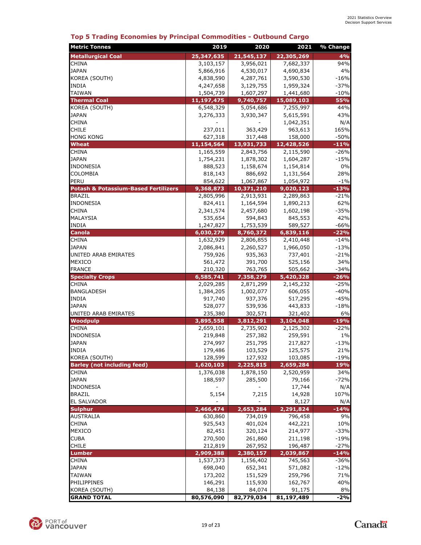### **Metric Tonnes 2019 2020 2021 % Change Metallurgical Coal 25,347,635 21,545,137 22,305,269 4%** CHINA 3,103,157 3,956,021 7,682,337 94% JAPAN 5,866,916 4,530,017 4,690,834 4% KOREA (SOUTH) 4,838,590 4,287,761 3,590,530 -16% INDIA 4,247,658 3,129,755 1,959,324 -37% TAIWAN 1,504,739 1,607,297 1,441,680 -10% **Thermal Coal 11,197,475 9,740,757 15,089,103 55%** KOREA (SOUTH) 6,548,329 5,054,686 7,255,997 44% JAPAN 3,276,333 3,930,347 5,615,591 43% CHINA - - 1,042,351 N/A CHILE 237,011 363,429 963,613 165% HONG KONG 627,318 317,448 158,000 -50% **11,154,564 13,931,733 1<u>2,428,526 11%</u> 11% 11% 11% 11% 12,428,526 12,428,526 11% 11% 11% 11% 12,428,526** CHINA 1,165,559 2,843,756 2,115,590 -26% JAPAN 1,754,231 1,878,302 1,604,287 -15% INDONESIA 888,523 1,158,674 1,154,814 0% COLOMBIA 818,143 886,692 1,131,564 28% PERU 854,622 1,067,867 1,054,972 -1% **Potash & Potassium-Based Fertilizers 9,368,873 10,371,210 9,020,123 -13%** BRAZIL 2,805,996 2,913,931 2,289,863 -21% INDONESIA 824,411 1,164,594 1,890,213 62% CHINA 2,341,574 2,457,680 1,602,198 -35% MALAYSIA 535,654 594,843 845,553 42% INDIA 1,247,827 1,753,539 589,527 -66% **Canola 6,030,279 8,760,372 6,839,116 -22%** CHINA 1,632,929 2,806,855 2,410,448 -14% JAPAN 2,086,841 2,260,527 1,966,050 -13% UNITED ARAB EMIRATES 759,926 935,363 737,401 -21% MEXICO 561,472 391,700 525,156 34% FRANCE 210,320 763,765 505,662 -34% **Specialty Crops 6,585,741 7,358,279 5,420,328 -26%** CHINA 2,029,285 2,871,299 2,145,232 -25% BANGLADESH 1,384,205 1,002,077 606,055 -40% INDIA 917,740 937,376 517,295 -45% JAPAN 528,077 539,936 443,833 -18% UNITED ARAB EMIRATES 235,380 302,571 321,402 6% **Woodpulp 3,895,558 3,812,291 3,104,048 -19%** CHINA 2,659,101 2,735,902 2,125,302 -22% INDONESIA 219,848 257,382 259,591 1% JAPAN 274,997 251,795 217,827 -13% INDIA 179,486 103,529 125,575 21% KOREA (SOUTH) 128,599 | 127,932 | 103,085 | -19% **Barley (not including feed) 1,620,103 2,225,815 2,659,284 19%** CHINA 1,376,038 1,878,150 2,520,959 34% JAPAN 188,597 285,500 79,166 -72% INDONESIA - - 17,744 N/A BRAZIL 5,154 7,215 14,928 107% EL SALVADOR - - 8,127 N/A **Sulphur 2,466,474 2,653,284 2,291,824 -14%** AUSTRALIA 630,860 734,019 796,458 9% CHINA 925,543 401,024 442,221 10% MEXICO 82,451 320,124 214,977 -33% CUBA 270,500 261,860 211,198 -19% CHILE 212,819 267,952 196,487 -27% **Lumber 2,909,388 2,380,157 2,039,867 -14%** CHINA 1,537,373 1,156,402 745,563 -36% JAPAN 698,040 652,341 571,082 -12% TAIWAN 173,202 151,529 259,796 71% PHILIPPINES | 146,291 | 15,930 162,767 | 40% KOREA (SOUTH) 84,138 | 84,074 | 91,175 | 8%

### **Top 5 Trading Economies by Principal Commodities - Outbound Cargo**



**GRAND TOTAL 80,576,090 82,779,034 81,197,489 -2%**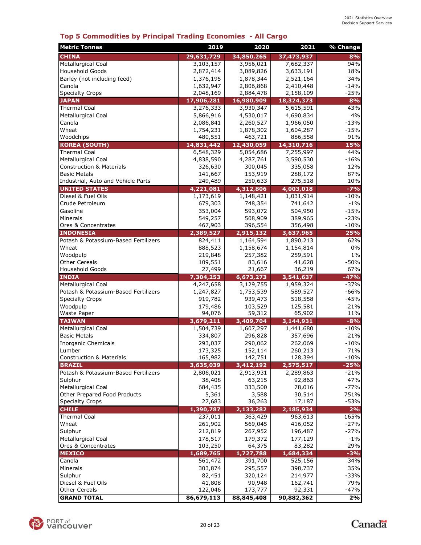### **Top 5 Commodities by Principal Trading Economies - All Cargo**

| <b>Metric Tonnes</b>                        | 2019                    | 2020                   | 2021                   | % Change   |
|---------------------------------------------|-------------------------|------------------------|------------------------|------------|
| <b>CHINA</b>                                | 29,631,729              | 34,850,265             | 37,473,937             | 8%         |
| Metallurgical Coal                          | 3,103,157               | 3,956,021              | 7,682,337              | 94%        |
| <b>Household Goods</b>                      | 2,872,414               | 3,089,826              | 3,633,191              | 18%        |
| Barley (not including feed)                 | 1,376,195               | 1,878,344              | 2,521,164              | 34%        |
| Canola                                      | 1,632,947               | 2,806,868              | 2,410,448              | $-14%$     |
| <b>Specialty Crops</b>                      | 2,048,169               | 2,884,478              | 2,158,109              | $-25%$     |
| <b>JAPAN</b>                                | 17,906,281              | 16,980,909             | 18,324,373             | 8%         |
| <b>Thermal Coal</b>                         | 3,276,333               | 3,930,347              | 5,615,591              | 43%        |
| Metallurgical Coal                          | 5,866,916               | 4,530,017              | 4,690,834              | 4%         |
| Canola                                      | 2,086,841               | 2,260,527              | 1,966,050              | $-13%$     |
| Wheat                                       | 1,754,231               | 1,878,302              | 1,604,287              | $-15%$     |
| Woodchips                                   | 480,551                 | 463,721                | 886,558                | 91%        |
| <b>KOREA (SOUTH)</b><br><b>Thermal Coal</b> | 14,831,442<br>6,548,329 | 12,430,059             | 14,310,716             | 15%<br>44% |
| <b>Metallurgical Coal</b>                   | 4,838,590               | 5,054,686<br>4,287,761 | 7,255,997<br>3,590,530 | $-16%$     |
| <b>Construction &amp; Materials</b>         | 326,630                 | 300,045                | 335,058                | 12%        |
| <b>Basic Metals</b>                         | 141,667                 | 153,919                | 288,172                | 87%        |
| Industrial, Auto and Vehicle Parts          | 249,489                 | 250,633                | 275,518                | 10%        |
| <b>UNITED STATES</b>                        | 4,221,081               | 4,312,806              | 4,003,018              | $-7%$      |
| Diesel & Fuel Oils                          | 1,173,619               | 1,148,421              | 1,031,914              | $-10%$     |
| Crude Petroleum                             | 679,303                 | 748,354                | 741,642                | $-1%$      |
| Gasoline                                    | 353,004                 | 593,072                | 504,950                | $-15%$     |
| Minerals                                    | 549,257                 | 508,909                | 389,965                | $-23%$     |
| Ores & Concentrates                         | 467,903                 | 396,554                | 356,498                | $-10%$     |
| <b>INDONESIA</b>                            | 2,389,527               | 2,915,132              | 3,637,965              | 25%        |
| Potash & Potassium-Based Fertilizers        | 824,411                 | 1,164,594              | 1,890,213              | 62%        |
| Wheat                                       | 888,523                 | 1,158,674              | 1,154,814              | 0%         |
| Woodpulp                                    | 219,848                 | 257,382                | 259,591                | $1\%$      |
| <b>Other Cereals</b>                        | 109,551                 | 83,616                 | 41,628                 | $-50%$     |
| <b>Household Goods</b>                      | 27,499                  | 21,667                 | 36,219                 | 67%        |
| <b>INDIA</b>                                | 7,304,253               | 6,673,273              | 3,541,637              | $-47%$     |
| Metallurgical Coal                          | 4,247,658               | 3,129,755              | 1,959,324              | $-37%$     |
| Potash & Potassium-Based Fertilizers        | 1,247,827               | 1,753,539              | 589,527                | $-66%$     |
| <b>Specialty Crops</b>                      | 919,782                 | 939,473                | 518,558                | $-45%$     |
| Woodpulp<br>Waste Paper                     | 179,486<br>94,076       | 103,529                | 125,581                | 21%<br>11% |
|                                             |                         | 59,312<br>3,409,704    | 65,902<br>3,144,931    | $-8%$      |
| <b>TAIWAN</b><br>Metallurgical Coal         | 3,679,211<br>1,504,739  | 1,607,297              | 1,441,680              | $-10%$     |
| <b>Basic Metals</b>                         | 334,807                 | 296,828                | 357,696                | 21%        |
| <b>Inorganic Chemicals</b>                  | 293,037                 | 290,062                | 262,069                | $-10%$     |
| Lumber                                      | 173,325                 | 152,114                | 260,213                | 71%        |
| <b>Construction &amp; Materials</b>         | 165,982                 | 142,751                | 128,394                | $-10%$     |
| <b>BRAZIL</b>                               | 3,635,039               | 3,412,192              | 2,575,517              | $-25%$     |
| Potash & Potassium-Based Fertilizers        | 2,806,021               | 2,913,931              | 2,289,863              | $-21%$     |
| Sulphur                                     | 38,408                  | 63,215                 | 92,863                 | 47%        |
| <b>Metallurgical Coal</b>                   | 684,435                 | 333,500                | 78,016                 | $-77%$     |
| Other Prepared Food Products                | 5,361                   | 3,588                  | 30,514                 | 751%       |
| <b>Specialty Crops</b>                      | 27,683                  | 36,263                 | 17,187                 | $-53%$     |
| <b>CHILE</b>                                | 1,390,787               | 2,133,282              | 2,185,934              | 2%         |
| <b>Thermal Coal</b>                         | 237,011                 | 363,429                | 963,613                | 165%       |
| Wheat                                       | 261,902                 | 569,045                | 416,052                | $-27%$     |
| Sulphur                                     | 212,819                 | 267,952                | 196,487                | $-27%$     |
| Metallurgical Coal                          | 178,517                 | 179,372                | 177,129                | $-1%$      |
| Ores & Concentrates                         | 103,250                 | 64,375                 | 83,282                 | 29%        |
| <b>MEXICO</b>                               | 1,689,765               | 1,727,788              | 1,684,334              | $-3%$      |
| Canola                                      | 561,472                 | 391,700                | 525,156                | 34%        |
| Minerals                                    | 303,874                 | 295,557                | 398,737                | 35%        |
| Sulphur                                     | 82,451                  | 320,124                | 214,977                | $-33%$     |
| Diesel & Fuel Oils                          | 41,808                  | 90,948                 | 162,741                | 79%        |
| <b>Other Cereals</b>                        | 122,046                 | 173,777                | 92,331                 | $-47%$     |
| <b>GRAND TOTAL</b>                          | 86,679,113              | 88,845,408             | 90,882,362             | 2%         |

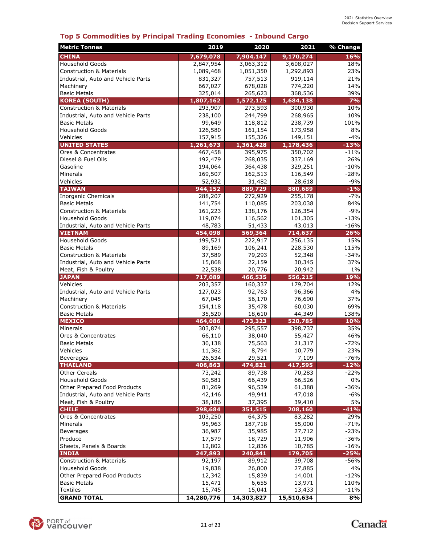### **Top 5 Commodities by Principal Trading Economies - Inbound Cargo**

| <b>CHINA</b><br>7,679,078<br>7,904,147<br>16%<br>9,170,274<br><b>Household Goods</b><br>18%<br>2,847,954<br>3,063,312<br>3,608,027<br>23%<br><b>Construction &amp; Materials</b><br>1,089,468<br>1,051,350<br>1,292,893<br>757,513<br>21%<br>Industrial, Auto and Vehicle Parts<br>831,327<br>919,114<br>Machinery<br>667,027<br>678,028<br>774,220<br>14%<br><b>Basic Metals</b><br>325,014<br>265,623<br>368,536<br>39%<br><b>KOREA (SOUTH)</b><br>1,807,162<br>1,572,125<br>1,684,138<br>7%<br>10%<br><b>Construction &amp; Materials</b><br>293,907<br>273,593<br>300,930<br>Industrial, Auto and Vehicle Parts<br>244,799<br>10%<br>238,100<br>268,965<br><b>Basic Metals</b><br>101%<br>99,649<br>118,812<br>238,739<br>8%<br>Household Goods<br>126,580<br>161,154<br>173,958<br>157,915<br>155,326<br>$-4%$<br>Vehicles<br>149,151<br><b>UNITED STATES</b><br>1,261,673<br>1,361,428<br>1,178,436<br>$-13%$<br>395,975<br>$-11%$<br>Ores & Concentrates<br>467,458<br>350,702<br>Diesel & Fuel Oils<br>192,479<br>268,035<br>26%<br>337,169<br>$-10%$<br>Gasoline<br>194,064<br>364,438<br>329,251<br>169,507<br>$-28%$<br>Minerals<br>162,513<br>116,549<br>$-9%$<br>Vehicles<br>52,932<br>31,482<br>28,618<br>889,729<br><b>TAIWAN</b><br>944,152<br>880,689<br>$-1%$<br>$-7%$<br>272,929<br>255,178<br>Inorganic Chemicals<br>288,207<br>84%<br><b>Basic Metals</b><br>141,754<br>110,085<br>203,038<br>$-9%$<br><b>Construction &amp; Materials</b><br>161,223<br>138,176<br>126,354<br><b>Household Goods</b><br>$-13%$<br>119,074<br>116,562<br>101,305<br>48,783<br>$-16%$<br>Industrial, Auto and Vehicle Parts<br>51,433<br>43,013<br>714,637<br><b>VIETNAM</b><br>454,098<br>569,364<br>26%<br>15%<br><b>Household Goods</b><br>222,917<br>256,135<br>199,521<br><b>Basic Metals</b><br>106,241<br>115%<br>89,169<br>228,530<br><b>Construction &amp; Materials</b><br>37,589<br>79,293<br>52,348<br>$-34%$<br>Industrial, Auto and Vehicle Parts<br>37%<br>15,868<br>22,159<br>30,345<br>22,538<br>20,776<br>$1\%$<br>Meat, Fish & Poultry<br>20,942<br><b>JAPAN</b><br>717,089<br>466,535<br>556,215<br>19%<br>203,357<br>179,704<br>12%<br>Vehicles<br>160,337<br>Industrial, Auto and Vehicle Parts<br>4%<br>127,023<br>92,763<br>96,366<br>37%<br>Machinery<br>67,045<br>56,170<br>76,690<br>69%<br><b>Construction &amp; Materials</b><br>154,118<br>35,478<br>60,030<br>35,520<br>138%<br><b>Basic Metals</b><br>18,610<br>44,349<br>464,086<br>473,323<br>520,785<br>10%<br><b>Minerals</b><br>398,737<br>35%<br>303,874<br>295,557<br>46%<br>Ores & Concentrates<br>66,110<br>38,040<br>55,427<br>30,138<br>$-72%$<br><b>Basic Metals</b><br>75,563<br>21,317<br>Vehicles<br>11,362<br>8,794<br>10,779<br>23%<br>26,534<br>$-76%$<br>29,521<br>7,109<br>Beverages<br>406,863<br>474,821<br>417,595<br>$-12%$<br>73,242<br>70,283<br><b>Other Cereals</b><br>89,738<br>$-22%$<br>$0\%$<br><b>Household Goods</b><br>50,581<br>66,439<br>66,526<br>Other Prepared Food Products<br>81,269<br>96,539<br>61,388<br>$-36%$<br>Industrial, Auto and Vehicle Parts<br>42,146<br>49,941<br>47,018<br>$-6%$<br>38,186<br>37,395<br>5%<br>Meat, Fish & Poultry<br>39,410<br><b>CHILE</b><br>298,684<br>351,515<br>208,160<br>$-41%$<br>103,250<br>64,375<br>83,282<br>29%<br>Ores & Concentrates<br>$-71%$<br>Minerals<br>95,963<br>187,718<br>55,000<br><b>Beverages</b><br>36,987<br>35,985<br>27,712<br>$-23%$<br>17,579<br>$-36%$<br>Produce<br>18,729<br>11,906<br>12,802<br>$-16%$<br>Sheets, Panels & Boards<br>12,836<br>10,785<br><b>INDIA</b><br>247,893<br>240,841<br>179,705<br>$-25%$<br><b>Construction &amp; Materials</b><br>$-56%$<br>92,197<br>89,912<br>39,708<br><b>Household Goods</b><br>4%<br>19,838<br>26,800<br>27,885<br>$-12%$<br>Other Prepared Food Products<br>12,342<br>15,839<br>14,001<br><b>Basic Metals</b><br>15,471<br>6,655<br>13,971<br>110%<br><b>Textiles</b><br>15,745<br>13,433<br>$-11%$<br>15,041 |                      | 2019       |            | 2021       |          |
|-----------------------------------------------------------------------------------------------------------------------------------------------------------------------------------------------------------------------------------------------------------------------------------------------------------------------------------------------------------------------------------------------------------------------------------------------------------------------------------------------------------------------------------------------------------------------------------------------------------------------------------------------------------------------------------------------------------------------------------------------------------------------------------------------------------------------------------------------------------------------------------------------------------------------------------------------------------------------------------------------------------------------------------------------------------------------------------------------------------------------------------------------------------------------------------------------------------------------------------------------------------------------------------------------------------------------------------------------------------------------------------------------------------------------------------------------------------------------------------------------------------------------------------------------------------------------------------------------------------------------------------------------------------------------------------------------------------------------------------------------------------------------------------------------------------------------------------------------------------------------------------------------------------------------------------------------------------------------------------------------------------------------------------------------------------------------------------------------------------------------------------------------------------------------------------------------------------------------------------------------------------------------------------------------------------------------------------------------------------------------------------------------------------------------------------------------------------------------------------------------------------------------------------------------------------------------------------------------------------------------------------------------------------------------------------------------------------------------------------------------------------------------------------------------------------------------------------------------------------------------------------------------------------------------------------------------------------------------------------------------------------------------------------------------------------------------------------------------------------------------------------------------------------------------------------------------------------------------------------------------------------------------------------------------------------------------------------------------------------------------------------------------------------------------------------------------------------------------------------------------------------------------------------------------------------------------------------------------------------------------------------------------------------------------------------------------------------------------------------------------------------------------------------------------------------------------------------------------------------------------------------------------------------------------------------------------------------------|----------------------|------------|------------|------------|----------|
|                                                                                                                                                                                                                                                                                                                                                                                                                                                                                                                                                                                                                                                                                                                                                                                                                                                                                                                                                                                                                                                                                                                                                                                                                                                                                                                                                                                                                                                                                                                                                                                                                                                                                                                                                                                                                                                                                                                                                                                                                                                                                                                                                                                                                                                                                                                                                                                                                                                                                                                                                                                                                                                                                                                                                                                                                                                                                                                                                                                                                                                                                                                                                                                                                                                                                                                                                                                                                                                                                                                                                                                                                                                                                                                                                                                                                                                                                                                                                                 | <b>Metric Tonnes</b> |            | 2020       |            | % Change |
|                                                                                                                                                                                                                                                                                                                                                                                                                                                                                                                                                                                                                                                                                                                                                                                                                                                                                                                                                                                                                                                                                                                                                                                                                                                                                                                                                                                                                                                                                                                                                                                                                                                                                                                                                                                                                                                                                                                                                                                                                                                                                                                                                                                                                                                                                                                                                                                                                                                                                                                                                                                                                                                                                                                                                                                                                                                                                                                                                                                                                                                                                                                                                                                                                                                                                                                                                                                                                                                                                                                                                                                                                                                                                                                                                                                                                                                                                                                                                                 |                      |            |            |            |          |
|                                                                                                                                                                                                                                                                                                                                                                                                                                                                                                                                                                                                                                                                                                                                                                                                                                                                                                                                                                                                                                                                                                                                                                                                                                                                                                                                                                                                                                                                                                                                                                                                                                                                                                                                                                                                                                                                                                                                                                                                                                                                                                                                                                                                                                                                                                                                                                                                                                                                                                                                                                                                                                                                                                                                                                                                                                                                                                                                                                                                                                                                                                                                                                                                                                                                                                                                                                                                                                                                                                                                                                                                                                                                                                                                                                                                                                                                                                                                                                 |                      |            |            |            |          |
|                                                                                                                                                                                                                                                                                                                                                                                                                                                                                                                                                                                                                                                                                                                                                                                                                                                                                                                                                                                                                                                                                                                                                                                                                                                                                                                                                                                                                                                                                                                                                                                                                                                                                                                                                                                                                                                                                                                                                                                                                                                                                                                                                                                                                                                                                                                                                                                                                                                                                                                                                                                                                                                                                                                                                                                                                                                                                                                                                                                                                                                                                                                                                                                                                                                                                                                                                                                                                                                                                                                                                                                                                                                                                                                                                                                                                                                                                                                                                                 |                      |            |            |            |          |
|                                                                                                                                                                                                                                                                                                                                                                                                                                                                                                                                                                                                                                                                                                                                                                                                                                                                                                                                                                                                                                                                                                                                                                                                                                                                                                                                                                                                                                                                                                                                                                                                                                                                                                                                                                                                                                                                                                                                                                                                                                                                                                                                                                                                                                                                                                                                                                                                                                                                                                                                                                                                                                                                                                                                                                                                                                                                                                                                                                                                                                                                                                                                                                                                                                                                                                                                                                                                                                                                                                                                                                                                                                                                                                                                                                                                                                                                                                                                                                 |                      |            |            |            |          |
|                                                                                                                                                                                                                                                                                                                                                                                                                                                                                                                                                                                                                                                                                                                                                                                                                                                                                                                                                                                                                                                                                                                                                                                                                                                                                                                                                                                                                                                                                                                                                                                                                                                                                                                                                                                                                                                                                                                                                                                                                                                                                                                                                                                                                                                                                                                                                                                                                                                                                                                                                                                                                                                                                                                                                                                                                                                                                                                                                                                                                                                                                                                                                                                                                                                                                                                                                                                                                                                                                                                                                                                                                                                                                                                                                                                                                                                                                                                                                                 |                      |            |            |            |          |
|                                                                                                                                                                                                                                                                                                                                                                                                                                                                                                                                                                                                                                                                                                                                                                                                                                                                                                                                                                                                                                                                                                                                                                                                                                                                                                                                                                                                                                                                                                                                                                                                                                                                                                                                                                                                                                                                                                                                                                                                                                                                                                                                                                                                                                                                                                                                                                                                                                                                                                                                                                                                                                                                                                                                                                                                                                                                                                                                                                                                                                                                                                                                                                                                                                                                                                                                                                                                                                                                                                                                                                                                                                                                                                                                                                                                                                                                                                                                                                 |                      |            |            |            |          |
|                                                                                                                                                                                                                                                                                                                                                                                                                                                                                                                                                                                                                                                                                                                                                                                                                                                                                                                                                                                                                                                                                                                                                                                                                                                                                                                                                                                                                                                                                                                                                                                                                                                                                                                                                                                                                                                                                                                                                                                                                                                                                                                                                                                                                                                                                                                                                                                                                                                                                                                                                                                                                                                                                                                                                                                                                                                                                                                                                                                                                                                                                                                                                                                                                                                                                                                                                                                                                                                                                                                                                                                                                                                                                                                                                                                                                                                                                                                                                                 |                      |            |            |            |          |
|                                                                                                                                                                                                                                                                                                                                                                                                                                                                                                                                                                                                                                                                                                                                                                                                                                                                                                                                                                                                                                                                                                                                                                                                                                                                                                                                                                                                                                                                                                                                                                                                                                                                                                                                                                                                                                                                                                                                                                                                                                                                                                                                                                                                                                                                                                                                                                                                                                                                                                                                                                                                                                                                                                                                                                                                                                                                                                                                                                                                                                                                                                                                                                                                                                                                                                                                                                                                                                                                                                                                                                                                                                                                                                                                                                                                                                                                                                                                                                 |                      |            |            |            |          |
|                                                                                                                                                                                                                                                                                                                                                                                                                                                                                                                                                                                                                                                                                                                                                                                                                                                                                                                                                                                                                                                                                                                                                                                                                                                                                                                                                                                                                                                                                                                                                                                                                                                                                                                                                                                                                                                                                                                                                                                                                                                                                                                                                                                                                                                                                                                                                                                                                                                                                                                                                                                                                                                                                                                                                                                                                                                                                                                                                                                                                                                                                                                                                                                                                                                                                                                                                                                                                                                                                                                                                                                                                                                                                                                                                                                                                                                                                                                                                                 |                      |            |            |            |          |
|                                                                                                                                                                                                                                                                                                                                                                                                                                                                                                                                                                                                                                                                                                                                                                                                                                                                                                                                                                                                                                                                                                                                                                                                                                                                                                                                                                                                                                                                                                                                                                                                                                                                                                                                                                                                                                                                                                                                                                                                                                                                                                                                                                                                                                                                                                                                                                                                                                                                                                                                                                                                                                                                                                                                                                                                                                                                                                                                                                                                                                                                                                                                                                                                                                                                                                                                                                                                                                                                                                                                                                                                                                                                                                                                                                                                                                                                                                                                                                 |                      |            |            |            |          |
|                                                                                                                                                                                                                                                                                                                                                                                                                                                                                                                                                                                                                                                                                                                                                                                                                                                                                                                                                                                                                                                                                                                                                                                                                                                                                                                                                                                                                                                                                                                                                                                                                                                                                                                                                                                                                                                                                                                                                                                                                                                                                                                                                                                                                                                                                                                                                                                                                                                                                                                                                                                                                                                                                                                                                                                                                                                                                                                                                                                                                                                                                                                                                                                                                                                                                                                                                                                                                                                                                                                                                                                                                                                                                                                                                                                                                                                                                                                                                                 |                      |            |            |            |          |
|                                                                                                                                                                                                                                                                                                                                                                                                                                                                                                                                                                                                                                                                                                                                                                                                                                                                                                                                                                                                                                                                                                                                                                                                                                                                                                                                                                                                                                                                                                                                                                                                                                                                                                                                                                                                                                                                                                                                                                                                                                                                                                                                                                                                                                                                                                                                                                                                                                                                                                                                                                                                                                                                                                                                                                                                                                                                                                                                                                                                                                                                                                                                                                                                                                                                                                                                                                                                                                                                                                                                                                                                                                                                                                                                                                                                                                                                                                                                                                 |                      |            |            |            |          |
|                                                                                                                                                                                                                                                                                                                                                                                                                                                                                                                                                                                                                                                                                                                                                                                                                                                                                                                                                                                                                                                                                                                                                                                                                                                                                                                                                                                                                                                                                                                                                                                                                                                                                                                                                                                                                                                                                                                                                                                                                                                                                                                                                                                                                                                                                                                                                                                                                                                                                                                                                                                                                                                                                                                                                                                                                                                                                                                                                                                                                                                                                                                                                                                                                                                                                                                                                                                                                                                                                                                                                                                                                                                                                                                                                                                                                                                                                                                                                                 |                      |            |            |            |          |
|                                                                                                                                                                                                                                                                                                                                                                                                                                                                                                                                                                                                                                                                                                                                                                                                                                                                                                                                                                                                                                                                                                                                                                                                                                                                                                                                                                                                                                                                                                                                                                                                                                                                                                                                                                                                                                                                                                                                                                                                                                                                                                                                                                                                                                                                                                                                                                                                                                                                                                                                                                                                                                                                                                                                                                                                                                                                                                                                                                                                                                                                                                                                                                                                                                                                                                                                                                                                                                                                                                                                                                                                                                                                                                                                                                                                                                                                                                                                                                 |                      |            |            |            |          |
|                                                                                                                                                                                                                                                                                                                                                                                                                                                                                                                                                                                                                                                                                                                                                                                                                                                                                                                                                                                                                                                                                                                                                                                                                                                                                                                                                                                                                                                                                                                                                                                                                                                                                                                                                                                                                                                                                                                                                                                                                                                                                                                                                                                                                                                                                                                                                                                                                                                                                                                                                                                                                                                                                                                                                                                                                                                                                                                                                                                                                                                                                                                                                                                                                                                                                                                                                                                                                                                                                                                                                                                                                                                                                                                                                                                                                                                                                                                                                                 |                      |            |            |            |          |
|                                                                                                                                                                                                                                                                                                                                                                                                                                                                                                                                                                                                                                                                                                                                                                                                                                                                                                                                                                                                                                                                                                                                                                                                                                                                                                                                                                                                                                                                                                                                                                                                                                                                                                                                                                                                                                                                                                                                                                                                                                                                                                                                                                                                                                                                                                                                                                                                                                                                                                                                                                                                                                                                                                                                                                                                                                                                                                                                                                                                                                                                                                                                                                                                                                                                                                                                                                                                                                                                                                                                                                                                                                                                                                                                                                                                                                                                                                                                                                 |                      |            |            |            |          |
|                                                                                                                                                                                                                                                                                                                                                                                                                                                                                                                                                                                                                                                                                                                                                                                                                                                                                                                                                                                                                                                                                                                                                                                                                                                                                                                                                                                                                                                                                                                                                                                                                                                                                                                                                                                                                                                                                                                                                                                                                                                                                                                                                                                                                                                                                                                                                                                                                                                                                                                                                                                                                                                                                                                                                                                                                                                                                                                                                                                                                                                                                                                                                                                                                                                                                                                                                                                                                                                                                                                                                                                                                                                                                                                                                                                                                                                                                                                                                                 |                      |            |            |            |          |
|                                                                                                                                                                                                                                                                                                                                                                                                                                                                                                                                                                                                                                                                                                                                                                                                                                                                                                                                                                                                                                                                                                                                                                                                                                                                                                                                                                                                                                                                                                                                                                                                                                                                                                                                                                                                                                                                                                                                                                                                                                                                                                                                                                                                                                                                                                                                                                                                                                                                                                                                                                                                                                                                                                                                                                                                                                                                                                                                                                                                                                                                                                                                                                                                                                                                                                                                                                                                                                                                                                                                                                                                                                                                                                                                                                                                                                                                                                                                                                 |                      |            |            |            |          |
|                                                                                                                                                                                                                                                                                                                                                                                                                                                                                                                                                                                                                                                                                                                                                                                                                                                                                                                                                                                                                                                                                                                                                                                                                                                                                                                                                                                                                                                                                                                                                                                                                                                                                                                                                                                                                                                                                                                                                                                                                                                                                                                                                                                                                                                                                                                                                                                                                                                                                                                                                                                                                                                                                                                                                                                                                                                                                                                                                                                                                                                                                                                                                                                                                                                                                                                                                                                                                                                                                                                                                                                                                                                                                                                                                                                                                                                                                                                                                                 |                      |            |            |            |          |
|                                                                                                                                                                                                                                                                                                                                                                                                                                                                                                                                                                                                                                                                                                                                                                                                                                                                                                                                                                                                                                                                                                                                                                                                                                                                                                                                                                                                                                                                                                                                                                                                                                                                                                                                                                                                                                                                                                                                                                                                                                                                                                                                                                                                                                                                                                                                                                                                                                                                                                                                                                                                                                                                                                                                                                                                                                                                                                                                                                                                                                                                                                                                                                                                                                                                                                                                                                                                                                                                                                                                                                                                                                                                                                                                                                                                                                                                                                                                                                 |                      |            |            |            |          |
|                                                                                                                                                                                                                                                                                                                                                                                                                                                                                                                                                                                                                                                                                                                                                                                                                                                                                                                                                                                                                                                                                                                                                                                                                                                                                                                                                                                                                                                                                                                                                                                                                                                                                                                                                                                                                                                                                                                                                                                                                                                                                                                                                                                                                                                                                                                                                                                                                                                                                                                                                                                                                                                                                                                                                                                                                                                                                                                                                                                                                                                                                                                                                                                                                                                                                                                                                                                                                                                                                                                                                                                                                                                                                                                                                                                                                                                                                                                                                                 |                      |            |            |            |          |
|                                                                                                                                                                                                                                                                                                                                                                                                                                                                                                                                                                                                                                                                                                                                                                                                                                                                                                                                                                                                                                                                                                                                                                                                                                                                                                                                                                                                                                                                                                                                                                                                                                                                                                                                                                                                                                                                                                                                                                                                                                                                                                                                                                                                                                                                                                                                                                                                                                                                                                                                                                                                                                                                                                                                                                                                                                                                                                                                                                                                                                                                                                                                                                                                                                                                                                                                                                                                                                                                                                                                                                                                                                                                                                                                                                                                                                                                                                                                                                 |                      |            |            |            |          |
|                                                                                                                                                                                                                                                                                                                                                                                                                                                                                                                                                                                                                                                                                                                                                                                                                                                                                                                                                                                                                                                                                                                                                                                                                                                                                                                                                                                                                                                                                                                                                                                                                                                                                                                                                                                                                                                                                                                                                                                                                                                                                                                                                                                                                                                                                                                                                                                                                                                                                                                                                                                                                                                                                                                                                                                                                                                                                                                                                                                                                                                                                                                                                                                                                                                                                                                                                                                                                                                                                                                                                                                                                                                                                                                                                                                                                                                                                                                                                                 |                      |            |            |            |          |
|                                                                                                                                                                                                                                                                                                                                                                                                                                                                                                                                                                                                                                                                                                                                                                                                                                                                                                                                                                                                                                                                                                                                                                                                                                                                                                                                                                                                                                                                                                                                                                                                                                                                                                                                                                                                                                                                                                                                                                                                                                                                                                                                                                                                                                                                                                                                                                                                                                                                                                                                                                                                                                                                                                                                                                                                                                                                                                                                                                                                                                                                                                                                                                                                                                                                                                                                                                                                                                                                                                                                                                                                                                                                                                                                                                                                                                                                                                                                                                 |                      |            |            |            |          |
|                                                                                                                                                                                                                                                                                                                                                                                                                                                                                                                                                                                                                                                                                                                                                                                                                                                                                                                                                                                                                                                                                                                                                                                                                                                                                                                                                                                                                                                                                                                                                                                                                                                                                                                                                                                                                                                                                                                                                                                                                                                                                                                                                                                                                                                                                                                                                                                                                                                                                                                                                                                                                                                                                                                                                                                                                                                                                                                                                                                                                                                                                                                                                                                                                                                                                                                                                                                                                                                                                                                                                                                                                                                                                                                                                                                                                                                                                                                                                                 |                      |            |            |            |          |
|                                                                                                                                                                                                                                                                                                                                                                                                                                                                                                                                                                                                                                                                                                                                                                                                                                                                                                                                                                                                                                                                                                                                                                                                                                                                                                                                                                                                                                                                                                                                                                                                                                                                                                                                                                                                                                                                                                                                                                                                                                                                                                                                                                                                                                                                                                                                                                                                                                                                                                                                                                                                                                                                                                                                                                                                                                                                                                                                                                                                                                                                                                                                                                                                                                                                                                                                                                                                                                                                                                                                                                                                                                                                                                                                                                                                                                                                                                                                                                 |                      |            |            |            |          |
|                                                                                                                                                                                                                                                                                                                                                                                                                                                                                                                                                                                                                                                                                                                                                                                                                                                                                                                                                                                                                                                                                                                                                                                                                                                                                                                                                                                                                                                                                                                                                                                                                                                                                                                                                                                                                                                                                                                                                                                                                                                                                                                                                                                                                                                                                                                                                                                                                                                                                                                                                                                                                                                                                                                                                                                                                                                                                                                                                                                                                                                                                                                                                                                                                                                                                                                                                                                                                                                                                                                                                                                                                                                                                                                                                                                                                                                                                                                                                                 |                      |            |            |            |          |
|                                                                                                                                                                                                                                                                                                                                                                                                                                                                                                                                                                                                                                                                                                                                                                                                                                                                                                                                                                                                                                                                                                                                                                                                                                                                                                                                                                                                                                                                                                                                                                                                                                                                                                                                                                                                                                                                                                                                                                                                                                                                                                                                                                                                                                                                                                                                                                                                                                                                                                                                                                                                                                                                                                                                                                                                                                                                                                                                                                                                                                                                                                                                                                                                                                                                                                                                                                                                                                                                                                                                                                                                                                                                                                                                                                                                                                                                                                                                                                 |                      |            |            |            |          |
|                                                                                                                                                                                                                                                                                                                                                                                                                                                                                                                                                                                                                                                                                                                                                                                                                                                                                                                                                                                                                                                                                                                                                                                                                                                                                                                                                                                                                                                                                                                                                                                                                                                                                                                                                                                                                                                                                                                                                                                                                                                                                                                                                                                                                                                                                                                                                                                                                                                                                                                                                                                                                                                                                                                                                                                                                                                                                                                                                                                                                                                                                                                                                                                                                                                                                                                                                                                                                                                                                                                                                                                                                                                                                                                                                                                                                                                                                                                                                                 |                      |            |            |            |          |
|                                                                                                                                                                                                                                                                                                                                                                                                                                                                                                                                                                                                                                                                                                                                                                                                                                                                                                                                                                                                                                                                                                                                                                                                                                                                                                                                                                                                                                                                                                                                                                                                                                                                                                                                                                                                                                                                                                                                                                                                                                                                                                                                                                                                                                                                                                                                                                                                                                                                                                                                                                                                                                                                                                                                                                                                                                                                                                                                                                                                                                                                                                                                                                                                                                                                                                                                                                                                                                                                                                                                                                                                                                                                                                                                                                                                                                                                                                                                                                 |                      |            |            |            |          |
|                                                                                                                                                                                                                                                                                                                                                                                                                                                                                                                                                                                                                                                                                                                                                                                                                                                                                                                                                                                                                                                                                                                                                                                                                                                                                                                                                                                                                                                                                                                                                                                                                                                                                                                                                                                                                                                                                                                                                                                                                                                                                                                                                                                                                                                                                                                                                                                                                                                                                                                                                                                                                                                                                                                                                                                                                                                                                                                                                                                                                                                                                                                                                                                                                                                                                                                                                                                                                                                                                                                                                                                                                                                                                                                                                                                                                                                                                                                                                                 |                      |            |            |            |          |
|                                                                                                                                                                                                                                                                                                                                                                                                                                                                                                                                                                                                                                                                                                                                                                                                                                                                                                                                                                                                                                                                                                                                                                                                                                                                                                                                                                                                                                                                                                                                                                                                                                                                                                                                                                                                                                                                                                                                                                                                                                                                                                                                                                                                                                                                                                                                                                                                                                                                                                                                                                                                                                                                                                                                                                                                                                                                                                                                                                                                                                                                                                                                                                                                                                                                                                                                                                                                                                                                                                                                                                                                                                                                                                                                                                                                                                                                                                                                                                 |                      |            |            |            |          |
|                                                                                                                                                                                                                                                                                                                                                                                                                                                                                                                                                                                                                                                                                                                                                                                                                                                                                                                                                                                                                                                                                                                                                                                                                                                                                                                                                                                                                                                                                                                                                                                                                                                                                                                                                                                                                                                                                                                                                                                                                                                                                                                                                                                                                                                                                                                                                                                                                                                                                                                                                                                                                                                                                                                                                                                                                                                                                                                                                                                                                                                                                                                                                                                                                                                                                                                                                                                                                                                                                                                                                                                                                                                                                                                                                                                                                                                                                                                                                                 |                      |            |            |            |          |
|                                                                                                                                                                                                                                                                                                                                                                                                                                                                                                                                                                                                                                                                                                                                                                                                                                                                                                                                                                                                                                                                                                                                                                                                                                                                                                                                                                                                                                                                                                                                                                                                                                                                                                                                                                                                                                                                                                                                                                                                                                                                                                                                                                                                                                                                                                                                                                                                                                                                                                                                                                                                                                                                                                                                                                                                                                                                                                                                                                                                                                                                                                                                                                                                                                                                                                                                                                                                                                                                                                                                                                                                                                                                                                                                                                                                                                                                                                                                                                 |                      |            |            |            |          |
|                                                                                                                                                                                                                                                                                                                                                                                                                                                                                                                                                                                                                                                                                                                                                                                                                                                                                                                                                                                                                                                                                                                                                                                                                                                                                                                                                                                                                                                                                                                                                                                                                                                                                                                                                                                                                                                                                                                                                                                                                                                                                                                                                                                                                                                                                                                                                                                                                                                                                                                                                                                                                                                                                                                                                                                                                                                                                                                                                                                                                                                                                                                                                                                                                                                                                                                                                                                                                                                                                                                                                                                                                                                                                                                                                                                                                                                                                                                                                                 |                      |            |            |            |          |
|                                                                                                                                                                                                                                                                                                                                                                                                                                                                                                                                                                                                                                                                                                                                                                                                                                                                                                                                                                                                                                                                                                                                                                                                                                                                                                                                                                                                                                                                                                                                                                                                                                                                                                                                                                                                                                                                                                                                                                                                                                                                                                                                                                                                                                                                                                                                                                                                                                                                                                                                                                                                                                                                                                                                                                                                                                                                                                                                                                                                                                                                                                                                                                                                                                                                                                                                                                                                                                                                                                                                                                                                                                                                                                                                                                                                                                                                                                                                                                 |                      |            |            |            |          |
|                                                                                                                                                                                                                                                                                                                                                                                                                                                                                                                                                                                                                                                                                                                                                                                                                                                                                                                                                                                                                                                                                                                                                                                                                                                                                                                                                                                                                                                                                                                                                                                                                                                                                                                                                                                                                                                                                                                                                                                                                                                                                                                                                                                                                                                                                                                                                                                                                                                                                                                                                                                                                                                                                                                                                                                                                                                                                                                                                                                                                                                                                                                                                                                                                                                                                                                                                                                                                                                                                                                                                                                                                                                                                                                                                                                                                                                                                                                                                                 | <b>MEXICO</b>        |            |            |            |          |
|                                                                                                                                                                                                                                                                                                                                                                                                                                                                                                                                                                                                                                                                                                                                                                                                                                                                                                                                                                                                                                                                                                                                                                                                                                                                                                                                                                                                                                                                                                                                                                                                                                                                                                                                                                                                                                                                                                                                                                                                                                                                                                                                                                                                                                                                                                                                                                                                                                                                                                                                                                                                                                                                                                                                                                                                                                                                                                                                                                                                                                                                                                                                                                                                                                                                                                                                                                                                                                                                                                                                                                                                                                                                                                                                                                                                                                                                                                                                                                 |                      |            |            |            |          |
|                                                                                                                                                                                                                                                                                                                                                                                                                                                                                                                                                                                                                                                                                                                                                                                                                                                                                                                                                                                                                                                                                                                                                                                                                                                                                                                                                                                                                                                                                                                                                                                                                                                                                                                                                                                                                                                                                                                                                                                                                                                                                                                                                                                                                                                                                                                                                                                                                                                                                                                                                                                                                                                                                                                                                                                                                                                                                                                                                                                                                                                                                                                                                                                                                                                                                                                                                                                                                                                                                                                                                                                                                                                                                                                                                                                                                                                                                                                                                                 |                      |            |            |            |          |
|                                                                                                                                                                                                                                                                                                                                                                                                                                                                                                                                                                                                                                                                                                                                                                                                                                                                                                                                                                                                                                                                                                                                                                                                                                                                                                                                                                                                                                                                                                                                                                                                                                                                                                                                                                                                                                                                                                                                                                                                                                                                                                                                                                                                                                                                                                                                                                                                                                                                                                                                                                                                                                                                                                                                                                                                                                                                                                                                                                                                                                                                                                                                                                                                                                                                                                                                                                                                                                                                                                                                                                                                                                                                                                                                                                                                                                                                                                                                                                 |                      |            |            |            |          |
|                                                                                                                                                                                                                                                                                                                                                                                                                                                                                                                                                                                                                                                                                                                                                                                                                                                                                                                                                                                                                                                                                                                                                                                                                                                                                                                                                                                                                                                                                                                                                                                                                                                                                                                                                                                                                                                                                                                                                                                                                                                                                                                                                                                                                                                                                                                                                                                                                                                                                                                                                                                                                                                                                                                                                                                                                                                                                                                                                                                                                                                                                                                                                                                                                                                                                                                                                                                                                                                                                                                                                                                                                                                                                                                                                                                                                                                                                                                                                                 |                      |            |            |            |          |
|                                                                                                                                                                                                                                                                                                                                                                                                                                                                                                                                                                                                                                                                                                                                                                                                                                                                                                                                                                                                                                                                                                                                                                                                                                                                                                                                                                                                                                                                                                                                                                                                                                                                                                                                                                                                                                                                                                                                                                                                                                                                                                                                                                                                                                                                                                                                                                                                                                                                                                                                                                                                                                                                                                                                                                                                                                                                                                                                                                                                                                                                                                                                                                                                                                                                                                                                                                                                                                                                                                                                                                                                                                                                                                                                                                                                                                                                                                                                                                 |                      |            |            |            |          |
|                                                                                                                                                                                                                                                                                                                                                                                                                                                                                                                                                                                                                                                                                                                                                                                                                                                                                                                                                                                                                                                                                                                                                                                                                                                                                                                                                                                                                                                                                                                                                                                                                                                                                                                                                                                                                                                                                                                                                                                                                                                                                                                                                                                                                                                                                                                                                                                                                                                                                                                                                                                                                                                                                                                                                                                                                                                                                                                                                                                                                                                                                                                                                                                                                                                                                                                                                                                                                                                                                                                                                                                                                                                                                                                                                                                                                                                                                                                                                                 | <b>THAILAND</b>      |            |            |            |          |
|                                                                                                                                                                                                                                                                                                                                                                                                                                                                                                                                                                                                                                                                                                                                                                                                                                                                                                                                                                                                                                                                                                                                                                                                                                                                                                                                                                                                                                                                                                                                                                                                                                                                                                                                                                                                                                                                                                                                                                                                                                                                                                                                                                                                                                                                                                                                                                                                                                                                                                                                                                                                                                                                                                                                                                                                                                                                                                                                                                                                                                                                                                                                                                                                                                                                                                                                                                                                                                                                                                                                                                                                                                                                                                                                                                                                                                                                                                                                                                 |                      |            |            |            |          |
|                                                                                                                                                                                                                                                                                                                                                                                                                                                                                                                                                                                                                                                                                                                                                                                                                                                                                                                                                                                                                                                                                                                                                                                                                                                                                                                                                                                                                                                                                                                                                                                                                                                                                                                                                                                                                                                                                                                                                                                                                                                                                                                                                                                                                                                                                                                                                                                                                                                                                                                                                                                                                                                                                                                                                                                                                                                                                                                                                                                                                                                                                                                                                                                                                                                                                                                                                                                                                                                                                                                                                                                                                                                                                                                                                                                                                                                                                                                                                                 |                      |            |            |            |          |
|                                                                                                                                                                                                                                                                                                                                                                                                                                                                                                                                                                                                                                                                                                                                                                                                                                                                                                                                                                                                                                                                                                                                                                                                                                                                                                                                                                                                                                                                                                                                                                                                                                                                                                                                                                                                                                                                                                                                                                                                                                                                                                                                                                                                                                                                                                                                                                                                                                                                                                                                                                                                                                                                                                                                                                                                                                                                                                                                                                                                                                                                                                                                                                                                                                                                                                                                                                                                                                                                                                                                                                                                                                                                                                                                                                                                                                                                                                                                                                 |                      |            |            |            |          |
|                                                                                                                                                                                                                                                                                                                                                                                                                                                                                                                                                                                                                                                                                                                                                                                                                                                                                                                                                                                                                                                                                                                                                                                                                                                                                                                                                                                                                                                                                                                                                                                                                                                                                                                                                                                                                                                                                                                                                                                                                                                                                                                                                                                                                                                                                                                                                                                                                                                                                                                                                                                                                                                                                                                                                                                                                                                                                                                                                                                                                                                                                                                                                                                                                                                                                                                                                                                                                                                                                                                                                                                                                                                                                                                                                                                                                                                                                                                                                                 |                      |            |            |            |          |
|                                                                                                                                                                                                                                                                                                                                                                                                                                                                                                                                                                                                                                                                                                                                                                                                                                                                                                                                                                                                                                                                                                                                                                                                                                                                                                                                                                                                                                                                                                                                                                                                                                                                                                                                                                                                                                                                                                                                                                                                                                                                                                                                                                                                                                                                                                                                                                                                                                                                                                                                                                                                                                                                                                                                                                                                                                                                                                                                                                                                                                                                                                                                                                                                                                                                                                                                                                                                                                                                                                                                                                                                                                                                                                                                                                                                                                                                                                                                                                 |                      |            |            |            |          |
|                                                                                                                                                                                                                                                                                                                                                                                                                                                                                                                                                                                                                                                                                                                                                                                                                                                                                                                                                                                                                                                                                                                                                                                                                                                                                                                                                                                                                                                                                                                                                                                                                                                                                                                                                                                                                                                                                                                                                                                                                                                                                                                                                                                                                                                                                                                                                                                                                                                                                                                                                                                                                                                                                                                                                                                                                                                                                                                                                                                                                                                                                                                                                                                                                                                                                                                                                                                                                                                                                                                                                                                                                                                                                                                                                                                                                                                                                                                                                                 |                      |            |            |            |          |
|                                                                                                                                                                                                                                                                                                                                                                                                                                                                                                                                                                                                                                                                                                                                                                                                                                                                                                                                                                                                                                                                                                                                                                                                                                                                                                                                                                                                                                                                                                                                                                                                                                                                                                                                                                                                                                                                                                                                                                                                                                                                                                                                                                                                                                                                                                                                                                                                                                                                                                                                                                                                                                                                                                                                                                                                                                                                                                                                                                                                                                                                                                                                                                                                                                                                                                                                                                                                                                                                                                                                                                                                                                                                                                                                                                                                                                                                                                                                                                 |                      |            |            |            |          |
|                                                                                                                                                                                                                                                                                                                                                                                                                                                                                                                                                                                                                                                                                                                                                                                                                                                                                                                                                                                                                                                                                                                                                                                                                                                                                                                                                                                                                                                                                                                                                                                                                                                                                                                                                                                                                                                                                                                                                                                                                                                                                                                                                                                                                                                                                                                                                                                                                                                                                                                                                                                                                                                                                                                                                                                                                                                                                                                                                                                                                                                                                                                                                                                                                                                                                                                                                                                                                                                                                                                                                                                                                                                                                                                                                                                                                                                                                                                                                                 |                      |            |            |            |          |
|                                                                                                                                                                                                                                                                                                                                                                                                                                                                                                                                                                                                                                                                                                                                                                                                                                                                                                                                                                                                                                                                                                                                                                                                                                                                                                                                                                                                                                                                                                                                                                                                                                                                                                                                                                                                                                                                                                                                                                                                                                                                                                                                                                                                                                                                                                                                                                                                                                                                                                                                                                                                                                                                                                                                                                                                                                                                                                                                                                                                                                                                                                                                                                                                                                                                                                                                                                                                                                                                                                                                                                                                                                                                                                                                                                                                                                                                                                                                                                 |                      |            |            |            |          |
|                                                                                                                                                                                                                                                                                                                                                                                                                                                                                                                                                                                                                                                                                                                                                                                                                                                                                                                                                                                                                                                                                                                                                                                                                                                                                                                                                                                                                                                                                                                                                                                                                                                                                                                                                                                                                                                                                                                                                                                                                                                                                                                                                                                                                                                                                                                                                                                                                                                                                                                                                                                                                                                                                                                                                                                                                                                                                                                                                                                                                                                                                                                                                                                                                                                                                                                                                                                                                                                                                                                                                                                                                                                                                                                                                                                                                                                                                                                                                                 |                      |            |            |            |          |
|                                                                                                                                                                                                                                                                                                                                                                                                                                                                                                                                                                                                                                                                                                                                                                                                                                                                                                                                                                                                                                                                                                                                                                                                                                                                                                                                                                                                                                                                                                                                                                                                                                                                                                                                                                                                                                                                                                                                                                                                                                                                                                                                                                                                                                                                                                                                                                                                                                                                                                                                                                                                                                                                                                                                                                                                                                                                                                                                                                                                                                                                                                                                                                                                                                                                                                                                                                                                                                                                                                                                                                                                                                                                                                                                                                                                                                                                                                                                                                 |                      |            |            |            |          |
|                                                                                                                                                                                                                                                                                                                                                                                                                                                                                                                                                                                                                                                                                                                                                                                                                                                                                                                                                                                                                                                                                                                                                                                                                                                                                                                                                                                                                                                                                                                                                                                                                                                                                                                                                                                                                                                                                                                                                                                                                                                                                                                                                                                                                                                                                                                                                                                                                                                                                                                                                                                                                                                                                                                                                                                                                                                                                                                                                                                                                                                                                                                                                                                                                                                                                                                                                                                                                                                                                                                                                                                                                                                                                                                                                                                                                                                                                                                                                                 |                      |            |            |            |          |
|                                                                                                                                                                                                                                                                                                                                                                                                                                                                                                                                                                                                                                                                                                                                                                                                                                                                                                                                                                                                                                                                                                                                                                                                                                                                                                                                                                                                                                                                                                                                                                                                                                                                                                                                                                                                                                                                                                                                                                                                                                                                                                                                                                                                                                                                                                                                                                                                                                                                                                                                                                                                                                                                                                                                                                                                                                                                                                                                                                                                                                                                                                                                                                                                                                                                                                                                                                                                                                                                                                                                                                                                                                                                                                                                                                                                                                                                                                                                                                 |                      |            |            |            |          |
|                                                                                                                                                                                                                                                                                                                                                                                                                                                                                                                                                                                                                                                                                                                                                                                                                                                                                                                                                                                                                                                                                                                                                                                                                                                                                                                                                                                                                                                                                                                                                                                                                                                                                                                                                                                                                                                                                                                                                                                                                                                                                                                                                                                                                                                                                                                                                                                                                                                                                                                                                                                                                                                                                                                                                                                                                                                                                                                                                                                                                                                                                                                                                                                                                                                                                                                                                                                                                                                                                                                                                                                                                                                                                                                                                                                                                                                                                                                                                                 |                      |            |            |            |          |
|                                                                                                                                                                                                                                                                                                                                                                                                                                                                                                                                                                                                                                                                                                                                                                                                                                                                                                                                                                                                                                                                                                                                                                                                                                                                                                                                                                                                                                                                                                                                                                                                                                                                                                                                                                                                                                                                                                                                                                                                                                                                                                                                                                                                                                                                                                                                                                                                                                                                                                                                                                                                                                                                                                                                                                                                                                                                                                                                                                                                                                                                                                                                                                                                                                                                                                                                                                                                                                                                                                                                                                                                                                                                                                                                                                                                                                                                                                                                                                 |                      |            |            |            |          |
|                                                                                                                                                                                                                                                                                                                                                                                                                                                                                                                                                                                                                                                                                                                                                                                                                                                                                                                                                                                                                                                                                                                                                                                                                                                                                                                                                                                                                                                                                                                                                                                                                                                                                                                                                                                                                                                                                                                                                                                                                                                                                                                                                                                                                                                                                                                                                                                                                                                                                                                                                                                                                                                                                                                                                                                                                                                                                                                                                                                                                                                                                                                                                                                                                                                                                                                                                                                                                                                                                                                                                                                                                                                                                                                                                                                                                                                                                                                                                                 |                      |            |            |            |          |
|                                                                                                                                                                                                                                                                                                                                                                                                                                                                                                                                                                                                                                                                                                                                                                                                                                                                                                                                                                                                                                                                                                                                                                                                                                                                                                                                                                                                                                                                                                                                                                                                                                                                                                                                                                                                                                                                                                                                                                                                                                                                                                                                                                                                                                                                                                                                                                                                                                                                                                                                                                                                                                                                                                                                                                                                                                                                                                                                                                                                                                                                                                                                                                                                                                                                                                                                                                                                                                                                                                                                                                                                                                                                                                                                                                                                                                                                                                                                                                 |                      |            |            |            |          |
|                                                                                                                                                                                                                                                                                                                                                                                                                                                                                                                                                                                                                                                                                                                                                                                                                                                                                                                                                                                                                                                                                                                                                                                                                                                                                                                                                                                                                                                                                                                                                                                                                                                                                                                                                                                                                                                                                                                                                                                                                                                                                                                                                                                                                                                                                                                                                                                                                                                                                                                                                                                                                                                                                                                                                                                                                                                                                                                                                                                                                                                                                                                                                                                                                                                                                                                                                                                                                                                                                                                                                                                                                                                                                                                                                                                                                                                                                                                                                                 | <b>GRAND TOTAL</b>   | 14,280,776 | 14,303,827 | 15,510,634 | 8%       |

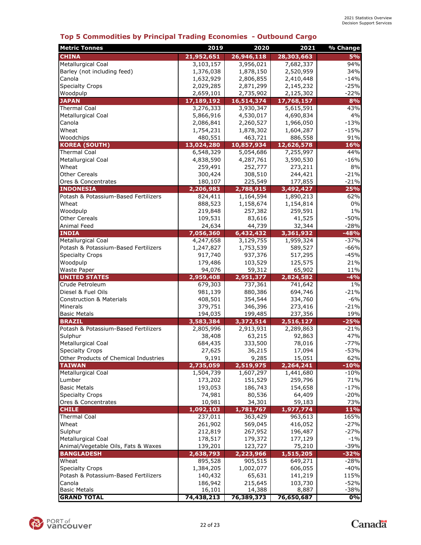## **Top 5 Commodities by Principal Trading Economies - Outbound Cargo**

| <b>Metric Tonnes</b>                        | 2019               | 2020               | 2021               | % Change         |
|---------------------------------------------|--------------------|--------------------|--------------------|------------------|
| <b>CHINA</b>                                | 21,952,651         | 26,946,118         | 28,303,663         | 5%               |
| Metallurgical Coal                          | 3,103,157          | 3,956,021          | 7,682,337          | 94%              |
| Barley (not including feed)                 | 1,376,038          | 1,878,150          | 2,520,959          | 34%              |
| Canola                                      | 1,632,929          | 2,806,855          | 2,410,448          | $-14%$           |
| <b>Specialty Crops</b>                      | 2,029,285          | 2,871,299          | 2,145,232          | $-25%$           |
| Woodpulp                                    | 2,659,101          | 2,735,902          | 2,125,302          | $-22%$           |
| <b>JAPAN</b>                                | 17,189,192         | 16,514,374         | 17,768,157         | 8%               |
| <b>Thermal Coal</b>                         | 3,276,333          | 3,930,347          | 5,615,591          | 43%              |
| Metallurgical Coal                          | 5,866,916          | 4,530,017          | 4,690,834          | 4%               |
| Canola                                      | 2,086,841          | 2,260,527          | 1,966,050          | $-13%$           |
| Wheat                                       | 1,754,231          | 1,878,302          | 1,604,287          | $-15%$           |
| Woodchips                                   | 480,551            | 463,721            | 886,558            | 91%              |
| <b>KOREA (SOUTH)</b>                        | 13,024,280         | 10,857,934         | 12,626,578         | 16%              |
| <b>Thermal Coal</b>                         | 6,548,329          | 5,054,686          | 7,255,997          | 44%              |
| Metallurgical Coal<br>Wheat                 | 4,838,590          | 4,287,761          | 3,590,530          | $-16%$           |
|                                             | 259,491            | 252,777            | 273,211            | 8%               |
| <b>Other Cereals</b><br>Ores & Concentrates | 300,424<br>180,107 | 308,510<br>225,549 | 244,421<br>177,855 | $-21%$<br>$-21%$ |
| <b>INDONESIA</b>                            | 2,206,983          | 2,788,915          | 3,492,427          | 25%              |
| Potash & Potassium-Based Fertilizers        | 824,411            | 1,164,594          | 1,890,213          | 62%              |
| Wheat                                       | 888,523            | 1,158,674          | 1,154,814          | $0\%$            |
| Woodpulp                                    | 219,848            | 257,382            | 259,591            | $1\%$            |
| <b>Other Cereals</b>                        | 109,531            | 83,616             | 41,525             | $-50%$           |
| <b>Animal Feed</b>                          | 24,634             | 44,739             | 32,344             | $-28%$           |
| <b>INDIA</b>                                | 7,056,360          | 6,432,432          | 3,361,932          | $-48%$           |
| <b>Metallurgical Coal</b>                   | 4,247,658          | 3,129,755          | 1,959,324          | $-37%$           |
| Potash & Potassium-Based Fertilizers        | 1,247,827          | 1,753,539          | 589,527            | $-66%$           |
| <b>Specialty Crops</b>                      | 917,740            | 937,376            | 517,295            | $-45%$           |
| Woodpulp                                    | 179,486            | 103,529            | 125,575            | 21%              |
| <b>Waste Paper</b>                          | 94,076             | 59,312             | 65,902             | 11%              |
| <b>UNITED STATES</b>                        | 2,959,408          | 2,951,377          | 2,824,582          | $-4%$            |
| Crude Petroleum                             | 679,303            | 737,361            | 741,642            | $1\%$            |
| Diesel & Fuel Oils                          | 981,139            | 880,386            | 694,746            | $-21%$           |
| <b>Construction &amp; Materials</b>         | 408,501            | 354,544            | 334,760            | $-6%$            |
| Minerals                                    | 379,751            | 346,396            | 273,416            | $-21%$           |
| <b>Basic Metals</b>                         | 194,035            | 199,485            | 237,356            | 19%              |
| <b>BRAZIL</b>                               | 3,583,384          | 3,372,514          | 2,516,127          | $-25%$           |
| Potash & Potassium-Based Fertilizers        | 2,805,996          | 2,913,931          | 2,289,863          | $-21%$           |
| Sulphur                                     | 38,408             | 63,215             | 92,863             | 47%              |
| <b>Metallurgical Coal</b>                   | 684,435            | 333,500            | 78,016             | $-77%$           |
| <b>Specialty Crops</b>                      | 27,625             | 36,215             | 17,094             | $-53%$           |
| Other Products of Chemical Industries       | 9,191              | 9,285              | 15,051             | 62%              |
| <b>TAIWAN</b>                               | 2,735,059          | 2,519,975          | 2,264,241          | $-10%$           |
| Metallurgical Coal                          | 1,504,739          | 1,607,297          | 1,441,680          | $-10%$           |
| Lumber                                      | 173,202            | 151,529            | 259,796            | 71%              |
| <b>Basic Metals</b>                         | 193,053            | 186,743            | 154,658            | $-17%$           |
| <b>Specialty Crops</b>                      | 74,981             | 80,536             | 64,409             | $-20%$           |
| Ores & Concentrates                         | 10,981             | 34,301             | 59,183             | 73%              |
| <b>CHILE</b>                                | 1,092,103          | 1,781,767          | 1,977,774          | 11%              |
| <b>Thermal Coal</b>                         | 237,011            | 363,429            | 963,613            | 165%             |
| Wheat                                       | 261,902            | 569,045            | 416,052            | $-27%$           |
| Sulphur                                     | 212,819            | 267,952            | 196,487            | $-27%$           |
| <b>Metallurgical Coal</b>                   | 178,517            | 179,372            | 177,129            | $-1\%$           |
| Animal/Vegetable Oils, Fats & Waxes         | 139,201            | 123,727            | 75,210             | -39%             |
| <b>BANGLADESH</b>                           | 2,638,793          | 2,223,966          | 1,515,205          | $-32%$           |
| Wheat                                       | 895,528            | 905,515            | 649,271            | $-28%$           |
| <b>Specialty Crops</b>                      | 1,384,205          | 1,002,077          | 606,055            | $-40%$           |
| Potash & Potassium-Based Fertilizers        | 140,432            | 65,631             | 141,219            | 115%             |
| Canola                                      | 186,942            | 215,645            | 103,730            | $-52%$           |
| <b>Basic Metals</b>                         | 16,101             | 14,388             | 8,887              | $-38%$           |
| <b>GRAND TOTAL</b>                          | 74,438,213         | 76,389,373         | 76,650,687         | 0%               |